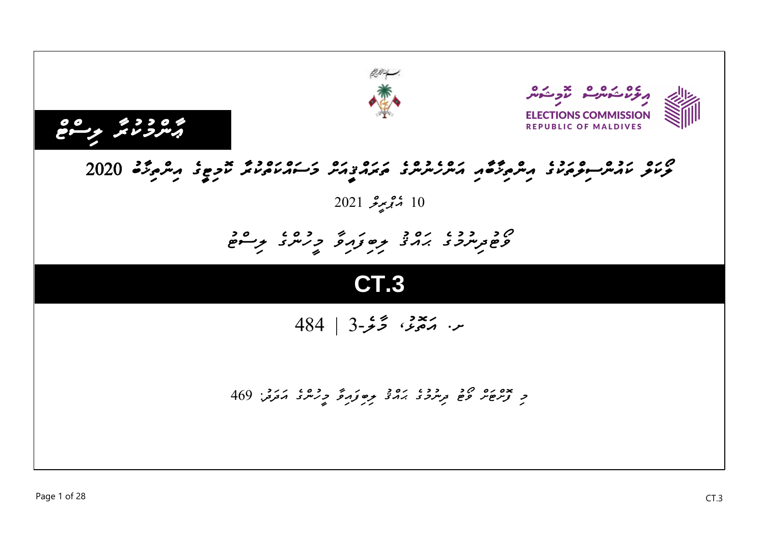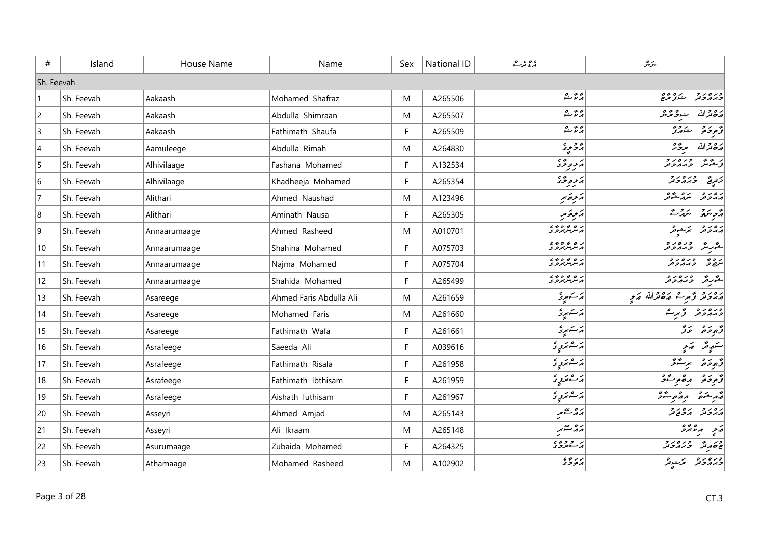| #                        | Island     | House Name   | Name                    | Sex | National ID | ، ه ، ره<br>مره برگ                      | يترمثر                                                                |
|--------------------------|------------|--------------|-------------------------|-----|-------------|------------------------------------------|-----------------------------------------------------------------------|
| Sh. Feevah               |            |              |                         |     |             |                                          |                                                                       |
|                          | Sh. Feevah | Aakaash      | Mohamed Shafraz         | M   | A265506     | رژ ئەشە                                  | وره رو دره ده<br><i>وبرو در</i> شور <i>مر</i> ی                       |
| $\overline{2}$           | Sh. Feevah | Aakaash      | Abdulla Shimraan        | M   | A265507     | رژ ئەشە                                  | <mark>بر صور</mark> الله<br>ے و تر س                                  |
| 3                        | Sh. Feevah | Aakaash      | Fathimath Shaufa        | F.  | A265509     | رژ ئەشە                                  | أوالمحتجم المستعمر                                                    |
| $\overline{\mathcal{A}}$ | Sh. Feevah | Aamuleege    | Abdulla Rimah           | M   | A264830     | پژخری                                    | أرجع قرالله مرؤم                                                      |
| 5                        | Sh. Feevah | Alhivilaage  | Fashana Mohamed         | F.  | A132534     | ەكمەرە ئۇ                                | تى شەھرە بەر د                                                        |
| 6                        | Sh. Feevah | Alhivilaage  | Khadheeja Mohamed       | F   | A265354     | ەكمەرە ئۇتى                              | زَ مِرِ قَ مِ دَ مِ دِ وَ رَ وَ مَرَ وَ مَرَ                          |
| $\overline{7}$           | Sh. Feevah | Alithari     | Ahmed Naushad           | M   | A123496     | وكمتوحوسر                                | رەرد بردىدە                                                           |
| $\overline{8}$           | Sh. Feevah | Alithari     | Aminath Nausa           | F   | A265305     | لأحرجوسر                                 | أأزجه تتراميح                                                         |
| 9                        | Sh. Feevah | Annaarumaage | Ahmed Rasheed           | M   | A010701     | ر ه د و د ،<br>د سرسربرو د               | أرور ويدعونه                                                          |
| $ 10\rangle$             | Sh. Feevah | Annaarumaage | Shahina Mohamed         | F   | A075703     | ر ه ۶۶۶ و.<br>مرس مرد و ی                | أحدثه وره دو                                                          |
| 11                       | Sh. Feevah | Annaarumaage | Najma Mohamed           | F   | A075704     | ر ۵ پر ۶ پر ۷<br>۸ سرسربر <del>۶</del> پ | روه وره رو<br> سرچاق وبرورونز                                         |
| $ 12\rangle$             | Sh. Feevah | Annaarumaage | Shahida Mohamed         | F.  | A265499     | ر ه ۶ و ۶ و<br>مرس مربو و                | أشكريش وبره رو                                                        |
| $ 13\rangle$             | Sh. Feevah | Asareege     | Ahmed Faris Abdulla Ali | M   | A261659     | ېز سەئىي <sub>د</sub> ى<br>ئە            | أيره يرو ومحرب الانتقاض الله الأرادي                                  |
| 14                       | Sh. Feevah | Asareege     | Mohamed Faris           | M   | A261660     | ېز سه پېړئ<br>په                         | ورورو ومرد                                                            |
| 15                       | Sh. Feevah | Asareege     | Fathimath Wafa          | F   | A261661     | ېر کے بیری<br>پ                          | وًجوحه وَوَّ                                                          |
| 16                       | Sh. Feevah | Asrafeege    | Saeeda Ali              | F.  | A039616     | ىر شەنىزى <sub>ر</sub> ئ                 | سکھیدتھ ایکٹر                                                         |
| 17                       | Sh. Feevah | Asrafeege    | Fathimath Risala        | F   | A261958     | ىز س <sup>9</sup> ىئرى <sub>ۋ</sub> ئ    | أوُّبُودَهُ بِرَسَّوَّ                                                |
| 18                       | Sh. Feevah | Asrafeege    | Fathimath Ibthisam      | F.  | A261959     | ىز س <sup>9</sup> ىخرى <sub>چە</sub> ئ   | توجدة مقويدة                                                          |
| 19                       | Sh. Feevah | Asrafeege    | Aishath luthisam        | F   | A261967     | ىز س <sup>9</sup> ىخرى <sub>چە</sub> ئ   | $\overbrace{\phantom{aa}}^{\circ}$ $\overbrace{\phantom{aa}}^{\circ}$ |
| 20                       | Sh. Feevah | Asseyri      | Ahmed Amjad             | M   | A265143     | لئەرىئىمىر                               | י סיי כ' יי היי בי<br>היי כני הכני בי                                 |
| 21                       | Sh. Feevah | Asseyri      | Ali Ikraam              | M   | A265148     | لمرهر يھيمبر                             | أەنبى مەمگە                                                           |
| 22                       | Sh. Feevah | Asurumaage   | Zubaida Mohamed         | F.  | A264325     | ر روپرې<br>مرسومرد د                     | כן כנסגב<br>גוסתית כגתכת                                              |
| 23                       | Sh. Feevah | Athamaage    | Mohamed Rasheed         | M   | A102902     | بر بر بو بر<br>در بر بر بر               | ورەرو كەشەر                                                           |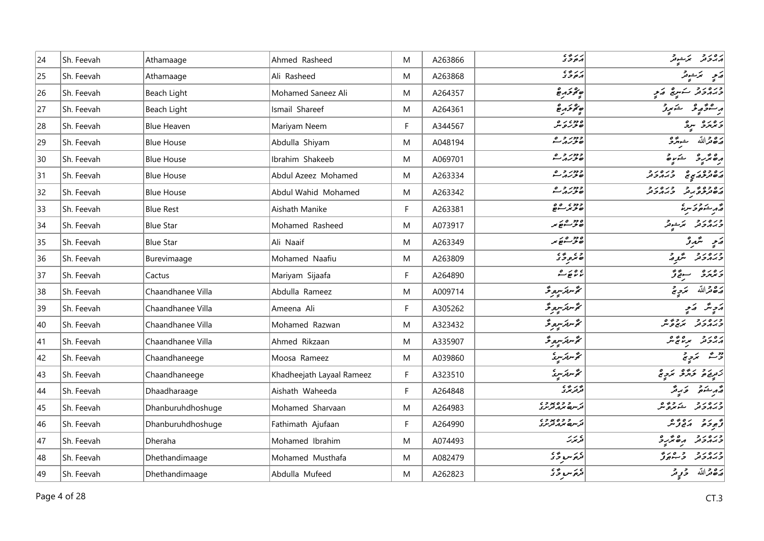| 24 | Sh. Feevah   | Athamaage          | Ahmed Rasheed             | M  | A263866 | ر ر د »<br>د ه د د                               | أرور و مرشومر                                  |
|----|--------------|--------------------|---------------------------|----|---------|--------------------------------------------------|------------------------------------------------|
| 25 | Sh. Feevah   | Athamaage          | Ali Rasheed               | M  | A263868 | بر بر بر بر<br>در بر بر بر                       | أركمي أترشوش                                   |
| 26 | Sh. Feevah   | Beach Light        | Mohamed Saneez Ali        | M  | A264357 | صرم محرم هم                                      | ورورو ڪي ڇَوِ                                  |
| 27 | Sh. Feevah   | Beach Light        | Ismail Shareef            | M  | A264361 | $\overline{e}$ , $\overline{e}$ , $\overline{e}$ | ر شۇرۇ شىرۇ                                    |
| 28 | Sh. Feevah   | <b>Blue Heaven</b> | Mariyam Neem              | F  | A344567 | ه دو ، ر ه<br><i>ه مور و</i> س                   | دەرە بېرە                                      |
| 29 | Sh. Feevah   | <b>Blue House</b>  | Abdulla Shiyam            | M  | A048194 | ە دىرىر م                                        | مُهْ مَرَّاللَّهُ شَعْمَرَّ                    |
| 30 | Sh. Feevah   | <b>Blue House</b>  | Ibrahim Shakeeb           | M  | A069701 | ە دىرىر م                                        | رە ئەر ئىرە                                    |
| 31 | Sh. Feevah   | <b>Blue House</b>  | Abdul Azeez Mohamed       | M  | A263334 | ە دەر دەر                                        | גם כפג ם הכגם גב<br>גיסיני בגם הביני ב         |
| 32 | Sh. Feevah   | <b>Blue House</b>  | Abdul Wahid Mohamed       | M  | A263342 | ە دىرىر م                                        | ره وه پر در در در د<br>پرهنربوغ برتر کوبربروتر |
| 33 | Sh. Feevah   | <b>Blue Rest</b>   | Aishath Manike            | F  | A263381 | و دو د ه ه<br>حامز <i>بر</i> سرچ                 | ە ئەر شىمۇ ئەسرىئا                             |
| 34 | Sh. Feevah   | <b>Blue Star</b>   | Mohamed Rasheed           | M  | A073917 | ە دور ھەير                                       | ورەر و كەنبەتر                                 |
| 35 | Sh. Feevah   | <b>Blue Star</b>   | Ali Naaif                 | M  | A263349 | ە دورە بر                                        | ەير شەرق                                       |
| 36 | Sh. Feevah   | Burevimaage        | Mohamed Naafiu            | M  | A263809 | و ۽ په په<br>  ح <i>اجري</i> و تر                | ورەر ئەرگە                                     |
| 37 | Sh. Feevah   | Cactus             | Mariyam Sijaafa           | F  | A264890 | 2.600                                            | رەرە سوق <sup>3</sup> ۇ                        |
| 38 | Sh. Feevah   | Chaandhanee Villa  | Abdulla Rameez            | M  | A009714 | ڭۇستىرسو ئە                                      | رَجْعَرْاللَّهُ يَرَدِجُ                       |
| 39 | Sh. Feevah   | Chaandhanee Villa  | Ameena Ali                | F. | A305262 | ڭۇسرتىر سرەپە ق                                  | أروبتر أرو                                     |
| 40 | Sh. Feevah   | Chaandhanee Villa  | Mohamed Razwan            | M  | A323432 | ڭۇسىترسرە ئە                                     | כנסנכ נכשים<br>כמחכת תשפית                     |
| 41 | Sh. Feevah   | Chaandhanee Villa  | Ahmed Rikzaan             | M  | A335907 | ى<br>ئۇستىر س <sub>ىر</sub>                      | أرەر دىرە ئەر                                  |
| 42 | Sh. Feevah   | Chaandhaneege      | Moosa Rameez              | M  | A039860 | ڭۇس <sub>ى</sub> رىگىرىد                         | د مستقر مستقرح مع                              |
| 43 | Sh. Feevah   | Chaandhaneege      | Khadheejath Layaal Rameez | F  | A323510 | ڭۇس <sub>ل</sub> رىترىپرىگە                      | زردة ويوه ويده                                 |
| 44 | Sh. Feevah   | Dhaadharaage       | Aishath Waheeda           | F  | A264848 | ی ر بر بر<br>ترتربر <sub>ک</sub>                 | ومرشكة وبرقر                                   |
| 45 | Sh. Feevah   | Dhanburuhdhoshuge  | Mohamed Sharvaan          | M  | A264983 | ر<br>ترسرچ بر د ترس                              | ورەرو بەرومە<br><i>دىد</i> ەرىر شىر <i>ۇ</i> س |
| 46 | l Sh. Feevah | Dhanburuhdhoshuge  | Fathimath Ajufaan         | F. | A264990 | ر<br>ترسرچ بر د ترسری                            | وٌجِرَدُ دَوَوُسٌ                              |
| 47 | Sh. Feevah   | Dheraha            | Mohamed Ibrahim           | M  | A074493 | ی پر پر<br>توبخر <i>ت</i>                        | בגמכנג מסתקב                                   |
| 48 | Sh. Feevah   | Dhethandimaage     | Mohamed Musthafa          | M  | A082479 | ې ئەھەمبە ئ <sup>ى</sup> رى                      | د پەر ئە<br>و ر ه ر و<br><i>و بر د</i> تر      |
| 49 | Sh. Feevah   | Dhethandimaage     | Abdulla Mufeed            | M  | A262823 | ې ئەھەمبىي ئ <sup>ەي</sup>                       | پره ترالله څوپه                                |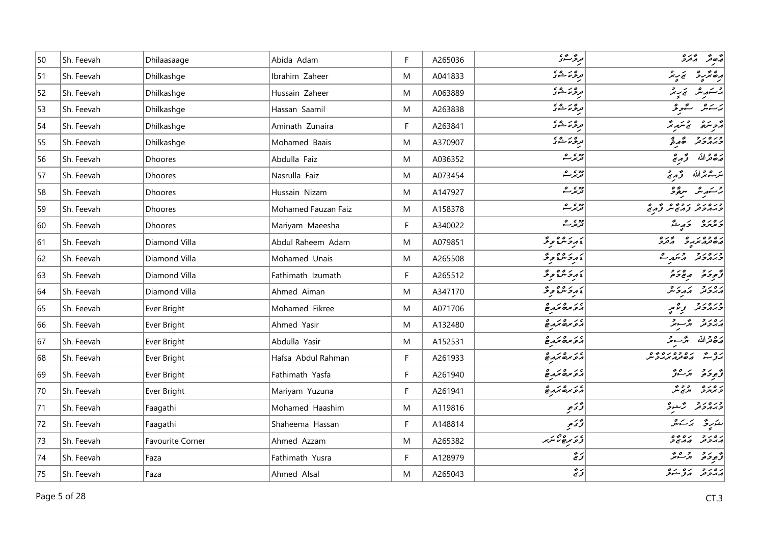| 50 | Sh. Feevah | Dhilaasaage             | Abida Adam          | F  | A265036 | ەرگۇرىچى                               | ړُه تَر ده.                                       |
|----|------------|-------------------------|---------------------|----|---------|----------------------------------------|---------------------------------------------------|
| 51 | Sh. Feevah | Dhilkashge              | Ibrahim Zaheer      | M  | A041833 | دره د بر ۲۵<br>درمزم شور               |                                                   |
| 52 | Sh. Feevah | Dhilkashge              | Hussain Zaheer      | M  | A063889 | <mark>ىر بۇ ئەش</mark> تى              | برسكور كالمريز                                    |
| 53 | Sh. Feevah | Dhilkashge              | Hassan Saamil       | M  | A263838 | دره د بر ۲۵<br>درمزم شور               | ر<br>رسک مشروعی                                   |
| 54 | Sh. Feevah | Dhilkashge              | Aminath Zunaira     | F  | A263841 | <mark>ىر بۇ ئەش</mark> تى              | أأدجتم ويتمر                                      |
| 55 | Sh. Feevah | Dhilkashge              | Mohamed Baais       | M  | A370907 | <sub>مر</sub> و رکھنے <sub>ک</sub>     | وره دو ځمه څ                                      |
| 56 | Sh. Feevah | <b>Dhoores</b>          | Abdulla Faiz        | M  | A036352 | دد ۽ ه                                 | مَدْهِ مِّرْ اللَّهُ مَّ وَمِنْ                   |
| 57 | Sh. Feevah | <b>Dhoores</b>          | Nasrulla Faiz       | M  | A073454 | ود ، م<br>تعریمر ک                     | ىتربە چراللە ئۇرىيم                               |
| 58 | Sh. Feevah | <b>Dhoores</b>          | Hussain Nizam       | M  | A147927 | دو ۽ ه                                 | ج سُنهر مثل سرچو                                  |
| 59 | Sh. Feevah | <b>Dhoores</b>          | Mohamed Fauzan Faiz | M  | A158378 | دو ۽ ه                                 |                                                   |
| 60 | Sh. Feevah | <b>Dhoores</b>          | Mariyam Maeesha     | F. | A340022 | دد ۽ ه                                 | رەرە دېرىگ                                        |
| 61 | Sh. Feevah | Diamond Villa           | Abdul Raheem Adam   | M  | A079851 | } رِرَسْنَا وِرَّ                      | גם כם גם היגם                                     |
| 62 | Sh. Feevah | Diamond Villa           | Mohamed Unais       | M  | A265508 | ، ئەر ئەنتقى ئوقر                      | כנסנכ כנגל                                        |
| 63 | Sh. Feevah | Diamond Villa           | Fathimath Izumath   | F  | A265512 | ن <sub>ە ب</sub> رىشا <sub> ئو</sub> ر | توجدة معدد                                        |
| 64 | Sh. Feevah | Diamond Villa           | Ahmed Aiman         | M  | A347170 | ،<br>، مرځ مثر هم <i>و</i> مح          | גפיני התכית                                       |
| 65 | Sh. Feevah | Ever Bright             | Mohamed Fikree      | M  | A071706 | $rac{1}{2}$                            | ورورور وراميه                                     |
| 66 | Sh. Feevah | Ever Bright             | Ahmed Yasir         | M  | A132480 |                                        | پرورو گرسوند                                      |
| 67 | Sh. Feevah | Ever Bright             | Abdulla Yasir       | M  | A152531 | أوأوسي مكرم                            | رَة قرالله مرَّسة حَمَّ                           |
| 68 | Sh. Feevah | Ever Bright             | Hafsa Abdul Rahman  | F. | A261933 |                                        | ره په ره ده ره په ه<br>برو په په هغرم مربرو س     |
| 69 | Sh. Feevah | Ever Bright             | Fathimath Yasfa     | F  | A261940 |                                        | ىر ئەرمى<br>ا توجو څخه د                          |
| 70 | Sh. Feevah | Ever Bright             | Mariyam Yuzuna      | F  | A261941 |                                        | גם גם בכבי<br>בינות כ                             |
| 71 | Sh. Feevah | Faagathi                | Mohamed Haashim     | M  | A119816 | و د<br>تر د ح <sub>ج</sub>             | ورەرو گەيو                                        |
| 72 | Sh. Feevah | Faagathi                | Shaheema Hassan     | F  | A148814 | ومر<br>ترىم                            | لمكارِى   كاسكانلل                                |
| 73 | Sh. Feevah | <b>Favourite Corner</b> | Ahmed Azzam         | M  | A265382 | ، رەم ئەر<br>زەبر ھ <sup>ە</sup> ئىرىر | بر ه بر ج<br>م <i>ر</i> بر <del>و</del> ر<br>0101 |
| 74 | Sh. Feevah | Faza                    | Fathimath Yusra     | F  | A128979 | ترتج                                   | تو بر د ده و پ                                    |
| 75 | Sh. Feevah | Faza                    | Ahmed Afsal         | M  | A265043 | ترتج                                   | رەرد رەپ                                          |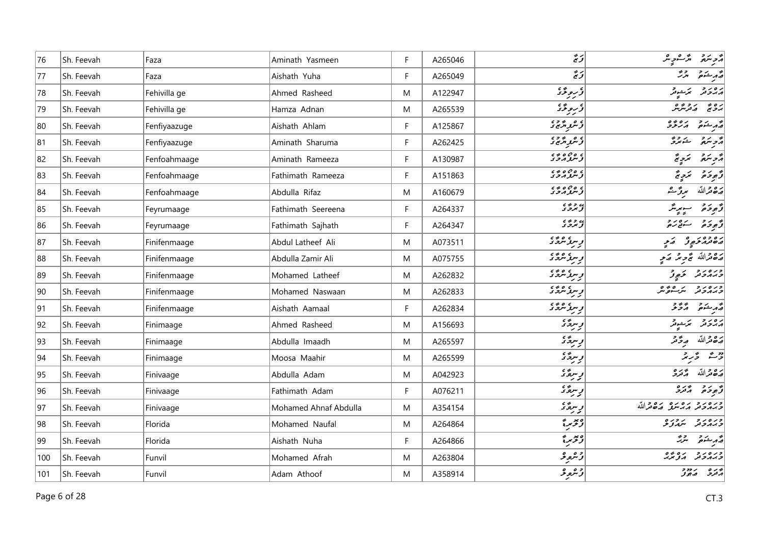| 76           | Sh. Feevah | Faza         | Aminath Yasmeen       | F  | A265046 | ترتج                                             |                                            |
|--------------|------------|--------------|-----------------------|----|---------|--------------------------------------------------|--------------------------------------------|
| 77           | Sh. Feevah | Faza         | Aishath Yuha          | F. | A265049 | ترتج                                             | أقهر شوهر المركز                           |
| 78           | Sh. Feevah | Fehivilla ge | Ahmed Rasheed         | M  | A122947 | ۇروڭۇ                                            | رەرو ئەيدۇ                                 |
| 79           | Sh. Feevah | Fehivilla ge | Hamza Adnan           | M  | A265539 | ۇروڭۇ                                            | رەپ روشر                                   |
| 80           | Sh. Feevah | Fenfiyaazuge | Aishath Ahlam         | F  | A125867 | ع شروع دي.<br> تر شر <sub>و</sub> شيخ د          | و در ده ده ده و د                          |
| 81           | Sh. Feevah | Fenfiyaazuge | Aminath Sharuma       | F  | A262425 | ، همد پرو،<br>زش <sub>ر پ</sub> ر <sub>س</sub> ی | أأدمر المستور                              |
| 82           | Sh. Feevah | Fenfoahmaage | Aminath Rameeza       | F  | A130987 | ، وہ و و ۽<br>اوسمد د و د                        | أأدجن أأتروج                               |
| 83           | Sh. Feevah | Fenfoahmaage | Fathimath Rameeza     | F  | A151863 | ، ه ۵ ۵ ۵ و.<br>توسیل مرکز <sub>ک</sub>          | وٌودَهُ يَرَدٍ مَ                          |
| 84           | Sh. Feevah | Fenfoahmaage | Abdulla Rifaz         | M  | A160679 | ، ه ۵ ۵ و »<br>توسو د د د                        | ة صحرالله<br>ىر ئەشە                       |
| 85           | Sh. Feevah | Feyrumaage   | Fathimath Seereena    | F  | A264337 | ، د و و د<br>تو مرتز د                           | سەمدىتر<br>ئىستىم<br>وٌجوحَع               |
| 86           | Sh. Feevah | Feyrumaage   | Fathimath Sajhath     | F. | A264347 | ، د و و د<br>تو مرتز د                           | و بر د<br>سە ئەر ج                         |
| 87           | Sh. Feevah | Finifenmaage | Abdul Latheef Ali     | M  | A073511 | اوسۇمىۋە                                         | ره ده د د و مر<br>م <b>ه در د</b> پور      |
| 88           | Sh. Feevah | Finifenmaage | Abdulla Zamir Ali     | M  | A075755 | اربىرد چېچ                                       | رە دالله گەج ما مايو                       |
| 89           | Sh. Feevah | Finifenmaage | Mohamed Latheef       | M  | A262832 | و سرگر مرگر <sup>ی</sup>                         | ورەرو كەر                                  |
| $ 90\rangle$ | Sh. Feevah | Finifenmaage | Mohamed Naswaan       | M  | A262833 | ار بېرو موځ د                                    | ورەرو برەھ ب <i>و</i>                      |
| 91           | Sh. Feevah | Finifenmaage | Aishath Aamaal        | F  | A262834 | ى <sub>ر سو</sub> يۇ يى <sub>ر</sub> ى<br>س      | وأرشكم أروح                                |
| 92           | Sh. Feevah | Finimaage    | Ahmed Rasheed         | M  | A156693 | و سرچ ئ                                          | أبره رو برشوش                              |
| 93           | Sh. Feevah | Finimaage    | Abdulla Imaadh        | M  | A265597 | وسردمى                                           | أرجعترالله محققر                           |
| 94           | Sh. Feevah | Finimaage    | Moosa Maahir          | M  | A265599 | و سرچ <sup>ء</sup><br>سرچ                        | وحرثت ومحرر                                |
| 95           | Sh. Feevah | Finivaage    | Abdulla Adam          | M  | A042923 | او سرچ <sup>ی</sup><br><u>مرم</u>                | مَدْهِ مِّرْ مُرْمَّرِ                     |
| 96           | Sh. Feevah | Finivaage    | Fathimath Adam        | F  | A076211 | او میرود<br>او میرود                             | توجوحتم مرمره                              |
| 97           | Sh. Feevah | Finivaage    | Mohamed Ahnaf Abdulla | M  | A354154 | و سرچ <sup>ي</sup>                               | وره رو بره بره بره والله                   |
| 98           | Sh. Feevah | Florida      | Mohamed Naufal        | M  | A264864 | و بير په<br>  ز څربر پا                          | ورەرو شەدرە<br>جەمەدىر شمەۋى               |
| 99           | Sh. Feevah | Florida      | Aishath Nuha          | F  | A264866 | ادبورگا                                          | و در دور<br>مارد شوی سربر                  |
| 100          | Sh. Feevah | Funvil       | Mohamed Afrah         | M  | A263804 | ژیمو ژ                                           | כנסנכ נספס<br><i>כג</i> ובט ו <i>בצי</i> ב |
| 101          | Sh. Feevah | Funvil       | Adam Athoof           | M  | A358914 | ۇمىھوقە                                          | وره دوو<br>مرکز م                          |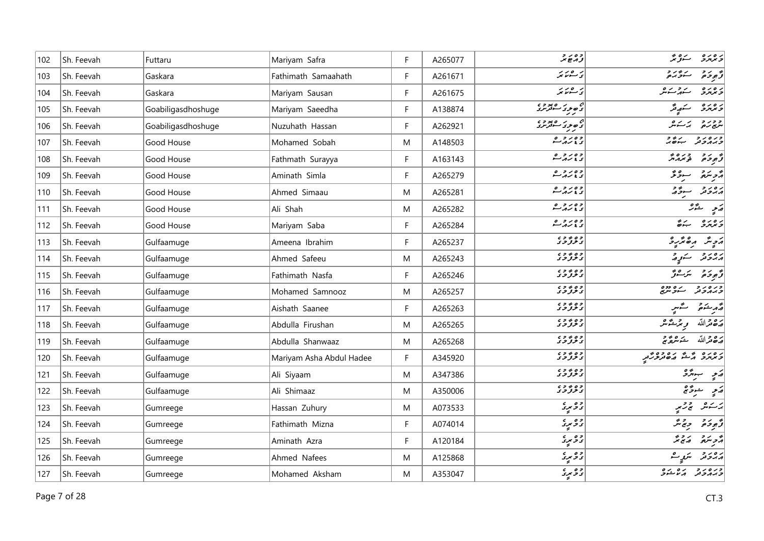|     |            |                    |                          |             | A265077 | و ه ر د<br>ز د ه مر                              | ر ه ر ه<br><del>د</del> بربرد<br>سەۋىتىر                                                                                                             |
|-----|------------|--------------------|--------------------------|-------------|---------|--------------------------------------------------|------------------------------------------------------------------------------------------------------------------------------------------------------|
| 102 | Sh. Feevah | Futtaru            | Mariyam Safra            | $\mathsf F$ |         |                                                  |                                                                                                                                                      |
| 103 | Sh. Feevah | Gaskara            | Fathimath Samaahath      | F.          | A261671 | ر 2 س <sup>ر</sup> ىر<br>ئەسىرىكىر               | سەۋرە<br>ا تۇ بوخرى                                                                                                                                  |
| 104 | Sh. Feevah | Gaskara            | Mariyam Sausan           | F           | A261675 | ى سەرىمىر                                        | ر ه ر ه<br><del>د</del> بربر د<br>سەرچە سەمىر                                                                                                        |
| 105 | Sh. Feevah | Goabiligasdhoshuge | Mariyam Saeedha          | F           | A138874 | ہے<br>کی ن <i>ے مو</i> کی سس <sup>و</sup> تر مرک | ر ه بر ه<br><del>د</del> بربرد<br>ستهرمتر                                                                                                            |
| 106 | Sh. Feevah | Goabiligasdhoshuge | Nuzuhath Hassan          | F           | A262921 | ج ھوي ھيو دي<br>د ھوي سندر                       | پر بر بر بر<br>سریع سر ہو<br>برسەچر                                                                                                                  |
| 107 | Sh. Feevah | Good House         | Mohamed Sobah            | M           | A148503 | د ه بر د ه<br><sub>م</sub> غ ځه ک                | 2.61<br>ور ه ر د<br>تر پر ژنر                                                                                                                        |
| 108 | Sh. Feevah | Good House         | Fathmath Surayya         | F           | A163143 | د ه بر د ه<br><sub>م</sub> نو کرم                | توجدة وره و                                                                                                                                          |
| 109 | Sh. Feevah | Good House         | Aminath Simla            | F           | A265279 | د ه بر د ه<br>د ډکه ک                            | و په سرچ<br>مشخص مشهور<br>$\overbrace{~~}^{\mathcal{L}}\hspace{-1.5pt}>\hspace{-1.5pt}\overbrace{~~}^{\mathcal{L}}\hspace{-1.5pt}-\hspace{-1.5pt}~~$ |
| 110 | Sh. Feevah | Good House         | Ahmed Simaau             | M           | A265281 | د ه بر د ه<br><sub>م</sub> ډېر گ                 | أرورو<br>سەۋە                                                                                                                                        |
| 111 | Sh. Feevah | Good House         | Ali Shah                 | M           | A265282 | د ه بر د ه<br>د ډکه ک                            | أرشم المشرح                                                                                                                                          |
| 112 | Sh. Feevah | Good House         | Mariyam Saba             | F.          | A265284 | د ه بر د ه<br><sub>م</sub> غ سرگر                | رەرە بەر                                                                                                                                             |
| 113 | Sh. Feevah | Gulfaamuge         | Ameena Ibrahim           | F           | A265237 | وه ۶ و ۲<br>کاموگر تر ک                          | ە ھەترىر ۋ<br>ړ په پر                                                                                                                                |
| 114 | Sh. Feevah | Gulfaamuge         | Ahmed Safeeu             | M           | A265243 | وه ۶ و ۲<br>کاموگر تر ک                          | رەرو سۆپە                                                                                                                                            |
| 115 | Sh. Feevah | Gulfaamuge         | Fathimath Nasfa          | F           | A265246 | و ه و و د<br>د ترتو تر د                         | أوجوده المراه ومح                                                                                                                                    |
| 116 | Sh. Feevah | Gulfaamuge         | Mohamed Samnooz          | M           | A265257 | د ه و و د<br>د <del>و</del> تو <del>و</del> د    | ر ده دوه<br>و رە ر د<br>تر پر تر تر                                                                                                                  |
| 117 | Sh. Feevah | Gulfaamuge         | Aishath Saanee           | F           | A265263 | وه پوو ،<br>د تروگر د                            | قەرشكى سەسر                                                                                                                                          |
| 118 | Sh. Feevah | Gulfaamuge         | Abdulla Firushan         | M           | A265265 | د ه و و ،<br>د ترتو تر د                         | رەقمەللە مەيمىشكە                                                                                                                                    |
| 119 | Sh. Feevah | Gulfaamuge         | Abdulla Shanwaaz         | M           | A265268 | د ه و و ،<br>د ترتو تر د                         | رە قراللە خەمرۇم                                                                                                                                     |
| 120 | Sh. Feevah | Gulfaamuge         | Mariyam Asha Abdul Hadee | F.          | A345920 | وه پوو ،<br>د تروگر د                            | ر وړه په په رو وه په په دول                                                                                                                          |
| 121 | Sh. Feevah | Gulfaamuge         | Ali Siyaam               | M           | A347386 | وه پوو ،<br>د تروگر د                            | $rac{1}{2}rac{1}{2}$                                                                                                                                 |
| 122 | Sh. Feevah | Gulfaamuge         | Ali Shimaaz              | M           | A350006 | و ه و و ء<br>د ترتو تر د                         | $\begin{array}{cc} \circ & \circ & \circ \\ \circ & \circ & \circ \\ \circ & \circ & \circ \end{array}$                                              |
| 123 | Sh. Feevah | Gumreege           | Hassan Zuhury            | M           | A073533 | و ه<br>د تر بېړنگ                                | برسيقر الجرمير                                                                                                                                       |
| 124 | Sh. Feevah | Gumreege           | Fathimath Mizna          | F           | A074014 | و ه<br>د و بود                                   | قرموختمو تحييته                                                                                                                                      |
| 125 | Sh. Feevah | Gumreege           | Aminath Azra             | F           | A120184 | و ه<br>د و مړي                                   | أزوينهم الأوع                                                                                                                                        |
| 126 | Sh. Feevah | Gumreege           | Ahmed Nafees             | M           | A125868 | و ه<br>  د ح مړي                                 | پرور پر سریا عظم سے                                                                                                                                  |
| 127 | Sh. Feevah | Gumreege           | Mohamed Aksham           | M           | A353047 | و ه<br>د څه پېړۍ                                 | ورەرو رەپرە                                                                                                                                          |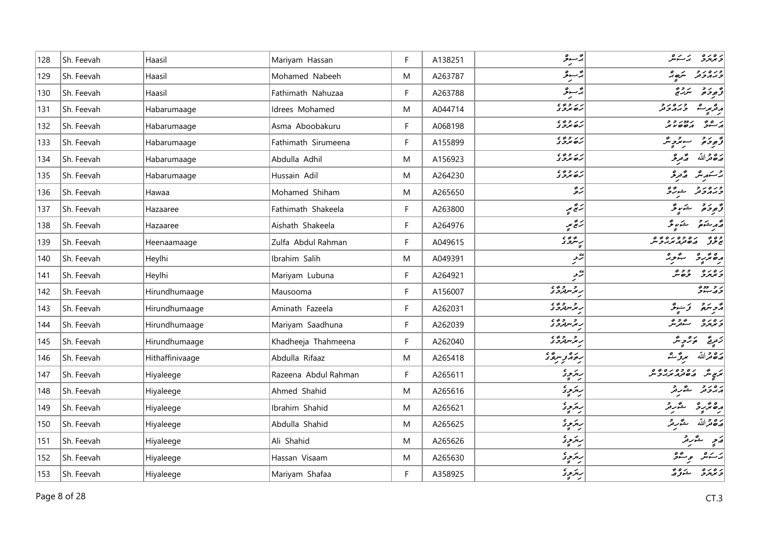| 128 | Sh. Feevah | Haasil          | Mariyam Hassan       | F  | A138251 | رًّ سه عه                                  | ر ه بر ه<br><del>د</del> بربرد<br>برسەمىر               |
|-----|------------|-----------------|----------------------|----|---------|--------------------------------------------|---------------------------------------------------------|
| 129 | Sh. Feevah | Haasil          | Mohamed Nabeeh       | M  | A263787 | رًّ سه عه                                  | و ره ر د<br>تر پر ژ تر<br>سرەبر                         |
| 130 | Sh. Feevah | Haasil          | Fathimath Nahuzaa    | F  | A263788 | ترسوعه                                     | سرويح<br>  تۇ بو خەمى                                   |
| 131 | Sh. Feevah | Habarumaage     | Idrees Mohamed       | M  | A044714 | ر ر د » ،<br>ره برو د                      | و رە ر د<br>تر <i>پر</i> پر تر<br>ىر قرىر مە<br>س       |
| 132 | Sh. Feevah | Habarumaage     | Asma Aboobakuru      | F. | A068198 | ر ر د و »<br>ره برو د                      | رەپچ<br>77/77/7                                         |
| 133 | Sh. Feevah | Habarumaage     | Fathimath Sirumeena  | F  | A155899 | ر ر د و »<br>ره برو د                      | ۇ بوزىر<br>سىدىر پىگە                                   |
| 134 | Sh. Feevah | Habarumaage     | Abdulla Adhil        | M  | A156923 | ر ر د » ،<br>ره برو د                      | رَصْحْرَاللَّهُ صَّعْرَ حَرْ                            |
| 135 | Sh. Feevah | Habarumaage     | Hussain Adil         | M  | A264230 | ر ر د د ،<br>ره برو د                      | برستهر شهرو                                             |
| 136 | Sh. Feevah | Hawaa           | Mohamed Shiham       | M  | A265650 | رپچ                                        | ے رگڑ و<br>و ر ه ر د<br>تر پر ژ تر                      |
| 137 | Sh. Feevah | Hazaaree        | Fathimath Shakeela   | F. | A263800 | ئەتچ بىر                                   | أزَّمِرْ حَمَدٍ حَسَنٍ حَرَّمَتٍ                        |
| 138 | Sh. Feevah | Hazaaree        | Aishath Shakeela     | F  | A264976 | ئەتچ ئىپ                                   | ۇرىشقى ئىكرىگى                                          |
| 139 | Sh. Feevah | Heenaamaage     | Zulfa Abdul Rahman   | F  | A049615 | ر پژوي<br>په مرد د                         | ره وه ره ده.<br>مصرم بربرگ<br>ە 2 دىگە<br>ئى محرق       |
| 140 | Sh. Feevah | Heylhi          | Ibrahim Salih        | M  | A049391 | ده<br>مرعمہ                                | ەر ھەترىر <i>ۋ</i><br>سی ویژ                            |
| 141 | Sh. Feevah | Heylhi          | Mariyam Lubuna       | F  | A264921 | ره<br>سرم                                  | ر ه ر ه<br><del>و</del> بوبرو<br>و و پر                 |
| 142 | Sh. Feevah | Hirundhumaage   | Mausooma             | F  | A156007 | ر بر سرور د<br>ر بر سرفر د                 | ر د دوءِ                                                |
| 143 | Sh. Feevah | Hirundhumaage   | Aminath Fazeela      | F  | A262031 | ر پژس ژه پ                                 | أأروبتهم وكالمنافخ                                      |
| 144 | Sh. Feevah | Hirundhumaage   | Mariyam Saadhuna     | F. | A262039 | ر پژس ژه پ                                 | سەدىرىتىر<br>ر ه ر ه<br><del>ر</del> بربرگ              |
| 145 | Sh. Feevah | Hirundhumaage   | Khadheeja Thahmeena  | F  | A262040 | ر ج <sub>ر سر</sub> و د ،<br>ر بر سربر و ی | زَمِرِيحٌ   مَرْحٍ مَّرْ                                |
| 146 | Sh. Feevah | Hithaffinivaage | Abdulla Rifaaz       | M  | A265418 | ىرە دۇ <sub>ر</sub> سرەڭ<br>بە             | أرَدْ مَرْاللّه مرتَر - و                               |
| 147 | Sh. Feevah | Hiyaleege       | Razeena Abdul Rahman | F  | A265611 | رېزون <sub>د</sub>                         | ر په کاره ده ده ده ولي.<br>مربع شي اړه تر د مر بر تر سر |
| 148 | Sh. Feevah | Hiyaleege       | Ahmed Shahid         | M  | A265616 | رېزىيە                                     | رەر دېمبر د<br>مەرومى ئىشمەمى                           |
| 149 | Sh. Feevah | Hiyaleege       | Ibrahim Shahid       | M  | A265621 | رېز <sub>مونه</sub><br>ر                   | رە ئەر ئۇرۇ                                             |
| 150 | Sh. Feevah | Hiyaleege       | Abdulla Shahid       | M  | A265625 | رېزىي                                      | أرة قرالله مقررتر                                       |
| 151 | Sh. Feevah | Hiyaleege       | Ali Shahid           | M  | A265626 | رېزون <sub>د</sub>                         | ە ئەستەر قىرىد<br>مەسىر                                 |
| 152 | Sh. Feevah | Hiyaleege       | Hassan Visaam        | M  | A265630 | رېزېږ <sup>ي</sup>                         | بزخنثر أوسترد                                           |
| 153 | Sh. Feevah | Hiyaleege       | Mariyam Shafaa       | F  | A358925 | رېز <sub>مونه</sub><br>ر                   | ره ره شوه پ                                             |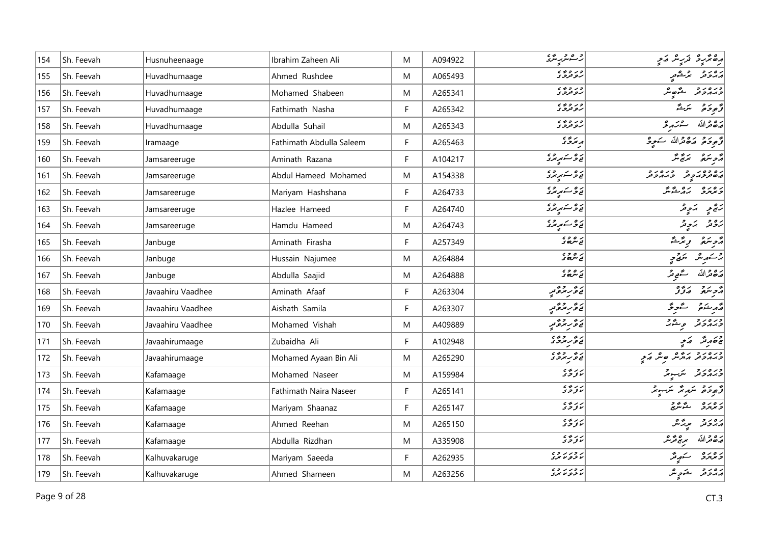| 154 | Sh. Feevah | Husnuheenaage     | Ibrahim Zaheen Ali       | M  | A094922 | ژ_شمه پر پیمبر<br>                | رەتم <i>رى</i> ۋ ن <i>زېپى مۇ</i> م                                                                                                               |
|-----|------------|-------------------|--------------------------|----|---------|-----------------------------------|---------------------------------------------------------------------------------------------------------------------------------------------------|
| 155 | Sh. Feevah | Huvadhumaage      | Ahmed Rushdee            | M  | A065493 | و ر و د »<br>ر ه ترو د            | أرەر د چرىشى پە                                                                                                                                   |
| 156 | Sh. Feevah | Huvadhumaage      | Mohamed Shabeen          | M  | A265341 | و ر و د » ،<br>ر و ترتر د         | 3,0,0 - محمد محمد المحمد السياسي<br>حداد حرار محمد المحمد المحمد المحمد المحمد المحمد المحمد المحمد المحمد المحمد المحمد المحمد المحمد المحمد الم |
| 157 | Sh. Feevah | Huvadhumaage      | Fathimath Nasha          | F  | A265342 | و ر و د »<br>ر و ترو د            | و المعرضية المحمد المستر                                                                                                                          |
| 158 | Sh. Feevah | Huvadhumaage      | Abdulla Suhail           | M  | A265343 | و ر و د »<br>روىرو د              | رَة قرالله كم يحرَم ع                                                                                                                             |
| 159 | Sh. Feevah | Iramaage          | Fathimath Abdulla Saleem | F  | A265463 | د برو ،<br>د برژ د                | وتجوحة وحدالله سوود                                                                                                                               |
| 160 | Sh. Feevah | Jamsareeruge      | Aminath Razana           | F  | A104217 | ئەۋسە يېرىرى                      | أأدبتهم المركاش                                                                                                                                   |
| 161 | Sh. Feevah | Jamsareeruge      | Abdul Hameed Mohamed     | M  | A154338 | ئەۋسە يەردى                       | נסכסנ כ-2010<br>גישנת בינגר בגבבת                                                                                                                 |
| 162 | Sh. Feevah | Jamsareeruge      | Mariyam Hashshana        | F  | A264733 | ئۇر ئىسىر برى                     | رەرە بەشقىر                                                                                                                                       |
| 163 | Sh. Feevah | Jamsareeruge      | Hazlee Hameed            | F  | A264740 | ئۇر ئەمبەردى                      | رَجْعٍ يَجِهْرُ                                                                                                                                   |
| 164 | Sh. Feevah | Jamsareeruge      | Hamdu Hameed             | M  | A264743 | ئەۋسە پرىرى                       | رَوْتْرَ   دَوِيْرَ                                                                                                                               |
| 165 | Sh. Feevah | Janbuge           | Aminath Firasha          | F  | A257349 | ر ۵ ۶ ء<br>قع سرچ <sub>ک</sub>    | وحريرة ويرتثه                                                                                                                                     |
| 166 | Sh. Feevah | Janbuge           | Hussain Najumee          | M  | A264884 | ر 20 و ء<br>قع سر <i>ھ </i> و     | ج سکور ملک ملکے حی <sub>ہ</sub>                                                                                                                   |
| 167 | Sh. Feevah | Janbuge           | Abdulla Saajid           | M  | A264888 | ر ه و ء<br>قع سر <i>ه د</i>       | رە قىراللە گەمچە قىر                                                                                                                              |
| 168 | Sh. Feevah | Javaahiru Vaadhee | Aminath Afaaf            | F  | A263304 | ئے قریر ترقی پر                   | أأروسه أروه                                                                                                                                       |
| 169 | Sh. Feevah | Javaahiru Vaadhee | Aishath Samila           | F  | A263307 | يۇ ئەبر قەقىيە                    | ۇرىشقى سەرق                                                                                                                                       |
| 170 | Sh. Feevah | Javaahiru Vaadhee | Mohamed Vishah           | M  | A409889 | ئے قرسر ترقمہ پر                  | ورەرو ھشك                                                                                                                                         |
| 171 | Sh. Feevah | Javaahirumaage    | Zubaidha Ali             | F. | A102948 | پرېژ پرېژ د                       | ة قام قدم محمد المحمد المحمد المحمد المحمد المحمد المحمدة المحمدة المحمدة المحمدة المحمدة المحمدة ال                                              |
| 172 | Sh. Feevah | Javaahirumaage    | Mohamed Ayaan Bin Ali    | M  | A265290 | پر څر پر چري                      | כגם גב גבת פת גב                                                                                                                                  |
| 173 | Sh. Feevah | Kafamaage         | Mohamed Naseer           | M  | A159984 | ئەنە ئە                           | ورەرو شہر                                                                                                                                         |
| 174 | Sh. Feevah | Kafamaage         | Fathimath Naira Naseer   | F  | A265141 | ر ر پر پر<br>ما تو <del>ر</del> ک | وتجودة الكربر الكبير                                                                                                                              |
| 175 | Sh. Feevah | Kafamaage         | Mariyam Shaanaz          | F  | A265147 | ر ر پر د<br>ما تو <del>ر</del> د  | ره ره شهره<br>و بربرو شوسرچ                                                                                                                       |
| 176 | Sh. Feevah | Kafamaage         | Ahmed Reehan             | M  | A265150 | ر ر پر پر<br>ما تو <del>ر</del> ک | أربروتر بريمه                                                                                                                                     |
| 177 | Sh. Feevah | Kafamaage         | Abdulla Rizdhan          | M  | A335908 | ر ر » ،<br>ما تو ژ د              | صصرالله<br>ىر بۇ قرىتر                                                                                                                            |
| 178 | Sh. Feevah | Kalhuvakaruge     | Mariyam Saeeda           | F. | A262935 | ر ور ر و ،<br>ما نونو ما موی      | د وړو کوړنگر                                                                                                                                      |
| 179 | Sh. Feevah | Kalhuvakaruge     | Ahmed Shameen            | M  | A263256 | ر ور ر و ،<br>ما نوبو ما بوي      | رەرد خوپر                                                                                                                                         |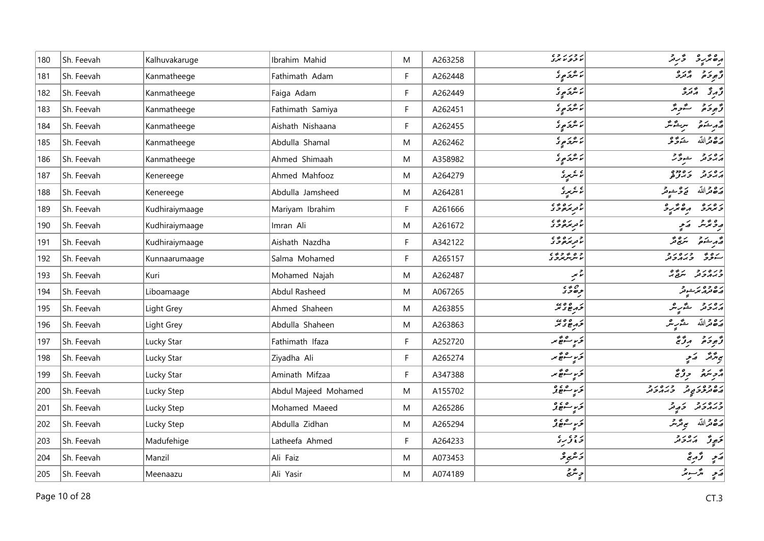| 180 | Sh. Feevah | Kalhuvakaruge  | Ibrahim Mahid        | M  | A263258 | ر ور ر د د<br>ما نوه ما بوي                                                                                               | تر سر تر<br>5,50,                                                                                                             |
|-----|------------|----------------|----------------------|----|---------|---------------------------------------------------------------------------------------------------------------------------|-------------------------------------------------------------------------------------------------------------------------------|
| 181 | Sh. Feevah | Kanmatheege    | Fathimath Adam       | F  | A262448 | ئەنگە ئەمچە ئە                                                                                                            | ۇ بوز <sub>ە</sub><br>ەرگەر                                                                                                   |
| 182 | Sh. Feevah | Kanmatheege    | Faiga Adam           | F. | A262449 | ئەنگە ئەمو ئە                                                                                                             | تۇرقى مەدرە                                                                                                                   |
| 183 | Sh. Feevah | Kanmatheege    | Fathimath Samiya     | F. | A262451 | پر هر پر پر<br>  پا مر <sub>کبر</sub> پر                                                                                  | ۇ بور بو<br>ئ<br>شەد پۇ                                                                                                       |
| 184 | Sh. Feevah | Kanmatheege    | Aishath Nishaana     | F  | A262455 | پر هر پر پر<br>  پا مر <sub>کبر</sub> پر                                                                                  | ر<br>پر دشوه سرشوس                                                                                                            |
| 185 | Sh. Feevah | Kanmatheege    | Abdulla Shamal       | M  | A262462 | ر هر د ءِ<br>پاڪرچ و                                                                                                      | ەھىراللە<br>ر شرگز بو                                                                                                         |
| 186 | Sh. Feevah | Kanmatheege    | Ahmed Shimaah        | M  | A358982 | ر ه ر په<br>مشر هم د                                                                                                      | دەر د شوۋر                                                                                                                    |
| 187 | Sh. Feevah | Kenereege      | Ahmed Mahfooz        | M  | A264279 | ى<br>ئامىرىپرى                                                                                                            | ره رو ده دوه<br>مدروند وبرون <sub>د</sub>                                                                                     |
| 188 | Sh. Feevah | Kenereege      | Abdulla Jamsheed     | M  | A264281 | ء يرىر ۽                                                                                                                  | كرة قرالله كم وشوقر                                                                                                           |
| 189 | Sh. Feevah | Kudhiraiymaage | Mariyam Ibrahim      | F. | A261666 | و پره وي<br>مامريزه و د                                                                                                   | ر ه ر ه<br>د بربرگ<br>برە ئۆرۈ                                                                                                |
| 190 | Sh. Feevah | Kudhiraiymaage | Imran Ali            | M  | A261672 | د رره و ،<br>مورکوبر                                                                                                      | رو پژند کمی                                                                                                                   |
| 191 | Sh. Feevah | Kudhiraiymaage | Aishath Nazdha       | F  | A342122 | ئوبرە ئەتى                                                                                                                | د د ده ده د د                                                                                                                 |
| 192 | Sh. Feevah | Kunnaarumaage  | Salma Mohamed        | F  | A265157 | د ه و د و و ،<br>د سرسربرو د                                                                                              | ر وه وره د و                                                                                                                  |
| 193 | Sh. Feevah | Kuri           | Mohamed Najah        | M  | A262487 | تتمبر                                                                                                                     | ورەرو روە                                                                                                                     |
| 194 | Sh. Feevah | Liboamaage     | Abdul Rasheed        | M  | A067265 | م ء ء ،<br>وه و د                                                                                                         | ر ه و ه ر<br>د کاترو برخوتر                                                                                                   |
| 195 | Sh. Feevah | Light Grey     | Ahmed Shaheen        | M  | A263855 | ر ه ه ه پر<br>محمد هو مر                                                                                                  | رەر ئىگەر شەر                                                                                                                 |
| 196 | Sh. Feevah | Light Grey     | Abdulla Shaheen      | M  | A263863 | ا پر ۵۵ می<br>مربع <sub>ک</sub> مر                                                                                        | رەق <sub>ى</sub> للە ش <sub>ەر</sub> بىر                                                                                      |
| 197 | Sh. Feevah | Lucky Star     | Fathimath Ifaza      | F  | A252720 | ئۈرىيە ھەتىر                                                                                                              | وٌجوحَهُ دِوٌجُ                                                                                                               |
| 198 | Sh. Feevah | Lucky Star     | Ziyadha Ali          | F  | A265274 | دَرِيب <sup>2</sup> ھُ بر                                                                                                 | ى ئىر ئىچ كە                                                                                                                  |
| 199 | Sh. Feevah | Lucky Star     | Aminath Mifzaa       | F  | A347388 | ئەربە ئەھجىمە                                                                                                             |                                                                                                                               |
| 200 | Sh. Feevah | Lucky Step     | Abdul Majeed Mohamed | M  | A155702 | ئۈر سىم قىچى ئى                                                                                                           | נסכסנ כ- כנסנב<br>גשנתבכת ב- המבנג                                                                                            |
| 201 | Sh. Feevah | Lucky Step     | Mohamed Maeed        | M  | A265286 | $\frac{\partial}{\partial \xi} \frac{\partial}{\partial \xi} \frac{\partial}{\partial \xi} \frac{\partial}{\partial \xi}$ | כממכת בתית                                                                                                                    |
| 202 | Sh. Feevah | Lucky Step     | Abdulla Zidhan       | M  | A265294 | دَرِيدِ عَقَةِ د                                                                                                          | أرة فرالله بمحرمتر                                                                                                            |
| 203 | Sh. Feevah | Madufehige     | Latheefa Ahmed       | F  | A264233 | ر د ،<br>د ، ز ر ،                                                                                                        |                                                                                                                               |
| 204 | Sh. Feevah | Manzil         | Ali Faiz             | M  | A073453 | ئەنئىرىمۇ                                                                                                                 | $\begin{array}{cc} \begin{array}{ccc} \circ & \circ & \circ & \circ \\ \circ & \circ & \circ & \circ \end{array} \end{array}$ |
| 205 | Sh. Feevah | Meenaazu       | Ali Yasir            | M  | A074189 | حریثر تح                                                                                                                  | ر<br>مۇس مۇسىر                                                                                                                |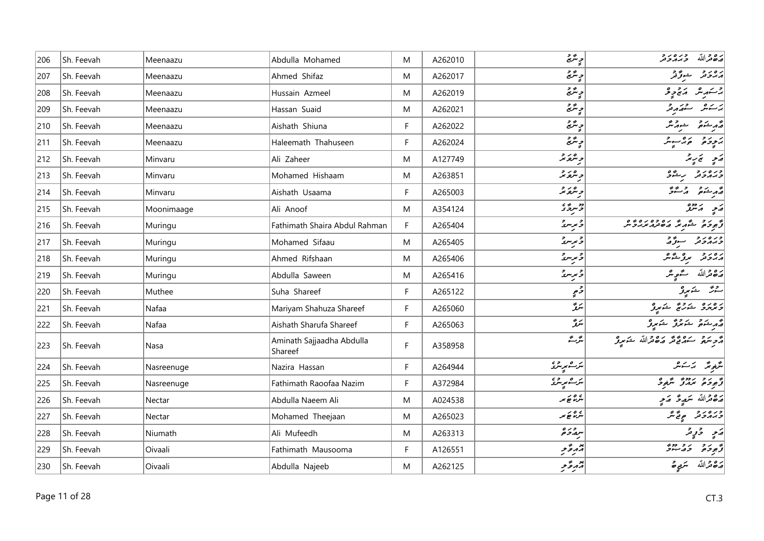| 206 | Sh. Feevah | Meenaazu   | Abdulla Mohamed                      | M           | A262010 | حريثرج                        | <mark>بر25</mark> لله<br>و رە ر د<br>تر پروتر                       |
|-----|------------|------------|--------------------------------------|-------------|---------|-------------------------------|---------------------------------------------------------------------|
| 207 | Sh. Feevah | Meenaazu   | Ahmed Shifaz                         | M           | A262017 | حريثرج                        | د ه د و .<br>  د بر د تر شوتوفر                                     |
| 208 | Sh. Feevah | Meenaazu   | Hussain Azmeel                       | M           | A262019 | حريثرج                        | برسكر شركة ويحوفر                                                   |
| 209 | Sh. Feevah | Meenaazu   | Hassan Suaid                         | M           | A262021 | حريثرج                        | ير سەھ سىھەم قىر                                                    |
| 210 | Sh. Feevah | Meenaazu   | Aishath Shiuna                       | F           | A262022 | حريثرج                        | أقرم يستوقي المستورثين                                              |
| 211 | Sh. Feevah | Meenaazu   | Haleemath Thahuseen                  | F           | A262024 | حريثرمج                       |                                                                     |
| 212 | Sh. Feevah | Minvaru    | Ali Zaheer                           | M           | A127749 | د مره نه                      | $\begin{bmatrix} 2 & 1 & 1 \\ 1 & 1 & 1 \\ 1 & 1 & 1 \end{bmatrix}$ |
| 213 | Sh. Feevah | Minvaru    | Mohamed Hishaam                      | M           | A263851 | حر مثر پر                     | ورەر دېمبر دە                                                       |
| 214 | Sh. Feevah | Minvaru    | Aishath Usaama                       | $\mathsf F$ | A265003 | حر مرو حر                     | و د د د د د د د                                                     |
| 215 | Sh. Feevah | Moonimaage | Ali Anoof                            | M           | A354124 | دو<br>وسرچر                   | أەسم بەردە                                                          |
| 216 | Sh. Feevah | Muringu    | Fathimath Shaira Abdul Rahman        | $\mathsf F$ | A265404 | وحمرسر                        | و د د و د و ده ده و د ده و د                                        |
| 217 | Sh. Feevah | Muringu    | Mohamed Sifaau                       | M           | A265405 | وحمرسر                        | כנים ניביק ל                                                        |
| 218 | Sh. Feevah | Muringu    | Ahmed Rifshaan                       | M           | A265406 | ۇ بىر سر <sup>ى</sup> ر<br>مە | رەرە بروىشەر                                                        |
| 219 | Sh. Feevah | Muringu    | Abdulla Saween                       | M           | A265416 | ۇ بىرس <u>ۇ</u><br>كەنبەر     | أرقع فكرالله كستحويثر                                               |
| 220 | Sh. Feevah | Muthee     | Suha Shareef                         | F           | A265122 | و<br>حرمج                     | لەش خىرو                                                            |
| 221 | Sh. Feevah | Nafaa      | Mariyam Shahuza Shareef              | F.          | A265060 | سروٌ                          | ره ده درونه شورو                                                    |
| 222 | Sh. Feevah | Nafaa      | Aishath Sharufa Shareef              | F           | A265063 | سَرَدٌ                        | و<br>ورشوم شمرق شربرو                                               |
| 223 | Sh. Feevah | Nasa       | Aminath Sajjaadha Abdulla<br>Shareef | $\mathsf F$ | A358958 | ىئرىشە                        | وحريده سودوقة وكافرالله خومرو                                       |
| 224 | Sh. Feevah | Nasreenuge | Nazira Hassan                        | F           | A264944 | ىئرىش <sub>مېرىتى</sub> گە    | لترفوش الماسكانكر                                                   |
| 225 | Sh. Feevah | Nasreenuge | Fathimath Raoofaa Nazim              | $\mathsf F$ | A372984 | ىئرىش <sub>مېرىتى</sub> گە    | توجده برددو شهره                                                    |
| 226 | Sh. Feevah | Nectar     | Abdulla Naeem Ali                    | M           | A024538 | ے <i>ہے پر</i>                | مَءْمِّرَاللَّهُ سَمِيعٌ مَعِ                                       |
| 227 | Sh. Feevah | Nectar     | Mohamed Theejaan                     | M           | A265023 | يڈر کا بھے سر                 | ورەرو پەتە                                                          |
| 228 | Sh. Feevah | Niumath    | Ali Mufeedh                          | M           | A263313 | اسمدوره                       | پر پور تو تو تر                                                     |
| 229 | Sh. Feevah | Oivaali    | Fathimath Mausooma                   | F           | A126551 | لترمر محرمه                   | و ده ده پنج                                                         |
| 230 | Sh. Feevah | Oivaali    | Abdulla Najeeb                       | M           | A262125 | وزمرغر                        | أرَّة مَرَّاللَّهُ مَرَبِّعٍ حَ                                     |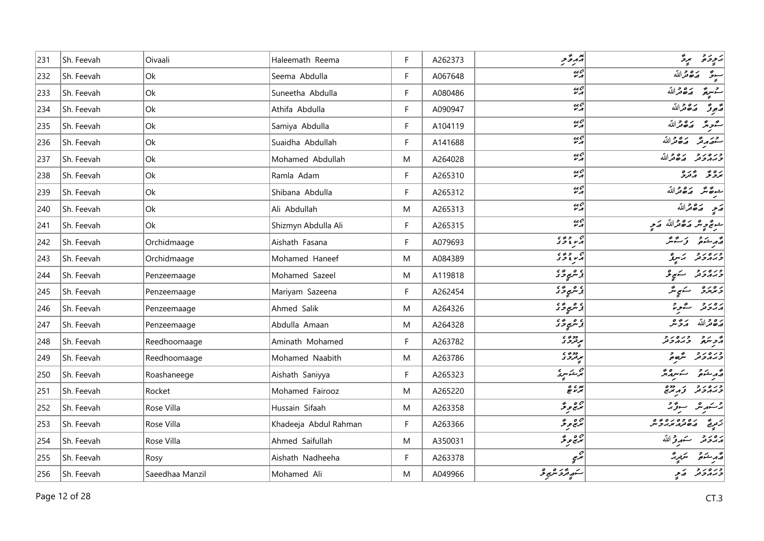| 231 | Sh. Feevah | Oivaali         | Haleemath Reema       | F         | A262373 | وترمرغر                               |                                                                                                                                                                                                                        |
|-----|------------|-----------------|-----------------------|-----------|---------|---------------------------------------|------------------------------------------------------------------------------------------------------------------------------------------------------------------------------------------------------------------------|
| 232 | Sh. Feevah | lok.            | Seema Abdulla         | F         | A067648 | ی<br>در ما                            | بَرْ وَرَةٌ مَرِدَّ<br>سَرِّ وَ اللهَ الله                                                                                                                                                                             |
| 233 | Sh. Feevah | Ok.             | Suneetha Abdulla      | F         | A080486 | $\overline{\mathcal{L}}$              | تحسير مقادير                                                                                                                                                                                                           |
| 234 | Sh. Feevah | Ok              | Athifa Abdulla        | F         | A090947 | لأميم                                 | صَّحِرَ صَنَّ صَدَّاللَّهُ                                                                                                                                                                                             |
| 235 | Sh. Feevah | Ok              | Samiya Abdulla        | F         | A104119 | حيمته                                 | حَرِيمٌ 205راللّه                                                                                                                                                                                                      |
| 236 | Sh. Feevah | Ok              | Suaidha Abdullah      | F         | A141688 | حدثه                                  | حصميقه صفعتهالله                                                                                                                                                                                                       |
| 237 | Sh. Feevah | Ok              | Mohamed Abdullah      | M         | A264028 | حدثه                                  | وره رو روو الله                                                                                                                                                                                                        |
| 238 | Sh. Feevah | lok             | Ramla Adam            | F         | A265310 | حيمته                                 | ره و پیمره<br>بروتر پرترو                                                                                                                                                                                              |
| 239 | Sh. Feevah | Ok              | Shibana Abdulla       | F         | A265312 | حيمته                                 | عُمِّعَةً مَنْ صَدَّاللَّهُ                                                                                                                                                                                            |
| 240 | Sh. Feevah | Ok              | Ali Abdullah          | M         | A265313 | حيمته                                 | أَصَعِي صَدْرَةَ اللَّهُ                                                                                                                                                                                               |
| 241 | Sh. Feevah | lOk             | Shizmyn Abdulla Ali   | F         | A265315 | لأميم                                 | <sub>شو</sub> چ چ <sub>و</sub> شه که محمدالله که چ                                                                                                                                                                     |
| 242 | Sh. Feevah | Orchidmaage     | Aishath Fasana        | F         | A079693 | 55220                                 | مەيدىنى ئەستىر                                                                                                                                                                                                         |
| 243 | Sh. Feevah | Orchidmaage     | Mohamed Haneef        | M         | A084389 |                                       | ورەرو ئەرە                                                                                                                                                                                                             |
| 244 | Sh. Feevah | Penzeemaage     | Mohamed Sazeel        | ${\sf M}$ | A119818 | ې مه په په<br>لرگسې پر                | ورەر دىكىپ                                                                                                                                                                                                             |
| 245 | Sh. Feevah | Penzeemaage     | Mariyam Sazeena       | F         | A262454 | ې مربو دي.<br>بر مرب <i>ې</i> قر      | د ه د ه په سکيږمتگر                                                                                                                                                                                                    |
| 246 | Sh. Feevah | Penzeemaage     | Ahmed Salik           | M         | A264326 | ې مربو دي.<br>بر مربح تر <sub>ک</sub> | دەرو شور                                                                                                                                                                                                               |
| 247 | Sh. Feevah | Penzeemaage     | Abdulla Amaan         | ${\sf M}$ | A264328 | ې شمې <sub>و</sub> د مخ               | مَصْعَرالله مَرَّسْ                                                                                                                                                                                                    |
| 248 | Sh. Feevah | Reedhoomaage    | Aminath Mohamed       | F         | A263782 | دده و.<br>موترو د                     | و دره دره در                                                                                                                                                                                                           |
| 249 | Sh. Feevah | Reedhoomaage    | Mohamed Naabith       | M         | A263786 | ود د د<br>مړندگر د                    | وره د و شهره                                                                                                                                                                                                           |
| 250 | Sh. Feevah | Roashaneege     | Aishath Saniyya       | F         | A265323 | ترڪسري                                | ومرشكوه كالمرمر                                                                                                                                                                                                        |
| 251 | Sh. Feevah | Rocket          | Mohamed Fairooz       | M         | A265220 | بر رہ<br>برنام                        | בגפנג נתית                                                                                                                                                                                                             |
| 252 | Sh. Feevah | Rose Villa      | Hussain Sifaah        | M         | A263358 | 2 <sub>ص</sub> ح ع <sub>ر</sub> محہ   | رحم مسرور مسرور م<br>مسلم مسرور مسرور مسرور مس                                                                                                                                                                         |
| 253 | Sh. Feevah | Rose Villa      | Khadeeja Abdul Rahman | F         | A263366 | ترج حرقته                             | ر دره ده ده ده و در مورد بالاسترات بالاسترات بالاسترات بالاسترات بالاسترات بالاسترات بالاسترات بالاس<br>التالي بالاسترات بالاسترات بالاسترات بالاسترات بالاسترات بالاسترات بالاسترات بالاسترات بالاسترات بالاسترات بال |
| 254 | Sh. Feevah | Rose Villa      | Ahmed Saifullah       | M         | A350031 | ە ە ھ<br>مەنىج ھ <sub>ر</sub> ىڅە     | وجروحه ستمرقرالله                                                                                                                                                                                                      |
| 255 | Sh. Feevah | Rosy            | Aishath Nadheeha      | F         | A263378 | اچېچ                                  | د مشرح سکوپد                                                                                                                                                                                                           |
| 256 | Sh. Feevah | Saeedhaa Manzil | Mohamed Ali           | M         | A049966 | سەر ئەڭرىكى بىر                       | ورەر دىر                                                                                                                                                                                                               |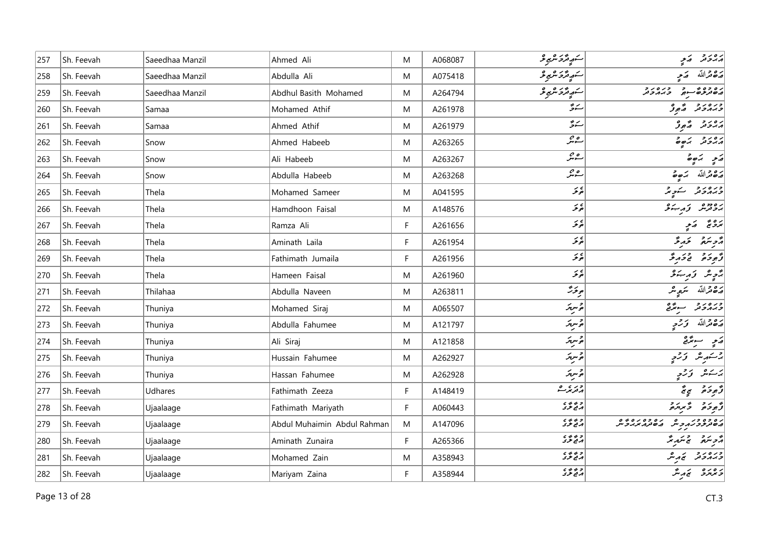| 257 | Sh. Feevah | Saeedhaa Manzil | Ahmed Ali                   | M  | A068087 | سەر ئەر ئەر ئىرى <i>نى</i> ئە | أترجر فر<br>ەتىر                                                                                                                                                                                       |
|-----|------------|-----------------|-----------------------------|----|---------|-------------------------------|--------------------------------------------------------------------------------------------------------------------------------------------------------------------------------------------------------|
| 258 | Sh. Feevah | Saeedhaa Manzil | Abdulla Ali                 | M  | A075418 | سەر ئەرگە ئىسى ئى             | 23عرالله 1ج                                                                                                                                                                                            |
| 259 | Sh. Feevah | Saeedhaa Manzil | Abdhul Basith Mohamed       | M  | A264794 | سەر ئەر ئىرى ئى               | נס כס מה כדי סני כ<br>השתתשה פינוכת                                                                                                                                                                    |
| 260 | Sh. Feevah | Samaa           | Mohamed Athif               | M  | A261978 | سەۋ                           | وره رو وه و                                                                                                                                                                                            |
| 261 | Sh. Feevah | Samaa           | Ahmed Athif                 | M  | A261979 | سەنچ                          | ره رو وه و                                                                                                                                                                                             |
| 262 | Sh. Feevah | Snow            | Ahmed Habeeb                | M  | A263265 | سەبىر                         | رەرو رە                                                                                                                                                                                                |
| 263 | Sh. Feevah | Snow            | Ali Habeeb                  | M  | A263267 | ه چی                          | $\begin{bmatrix} 2 & 2 & 2 & 2 \\ 2 & 2 & 2 & 2 \\ 2 & 2 & 2 & 2 \end{bmatrix}$                                                                                                                        |
| 264 | Sh. Feevah | Snow            | Abdulla Habeeb              | M  | A263268 | سەيىر                         | برة قرالله برَجِ صَحْ                                                                                                                                                                                  |
| 265 | Sh. Feevah | Thela           | Mohamed Sameer              | M  | A041595 | ې<br>موځر                     | وره دو در کرد                                                                                                                                                                                          |
| 266 | Sh. Feevah | Thela           | Hamdhoon Faisal             | M  | A148576 | ى<br>مىخر                     | رەدەر كەرسۇمى<br>  يادىرىس كەرسۇم                                                                                                                                                                      |
| 267 | Sh. Feevah | Thela           | Ramza Ali                   | F. | A261656 | ې<br>موځر                     | $5.6$ $8.9$                                                                                                                                                                                            |
| 268 | Sh. Feevah | Thela           | Aminath Laila               | F  | A261954 | لىمۇ                          | أأدبتكم فرارقه                                                                                                                                                                                         |
| 269 | Sh. Feevah | Thela           | Fathimath Jumaila           | F  | A261956 | ې<br>موځر                     | توجوختم فيخبر                                                                                                                                                                                          |
| 270 | Sh. Feevah | Thela           | Hameen Faisal               | M  | A261960 | ى<br>مىخر                     | چەچ ئۇرىبەق                                                                                                                                                                                            |
| 271 | Sh. Feevah | Thilahaa        | Abdulla Naveen              | M  | A263811 | عريخت                         | أَرَّةَ قَرْاللَّهُ مَتَمَّوِيْتُرَ                                                                                                                                                                    |
| 272 | Sh. Feevah | Thuniya         | Mohamed Siraj               | M  | A065507 | ەسىر                          | ورور و در                                                                                                                                                                                              |
| 273 | Sh. Feevah | Thuniya         | Abdulla Fahumee             | M  | A121797 | قحم سرمر                      | برە دالله ترخر                                                                                                                                                                                         |
| 274 | Sh. Feevah | Thuniya         | Ali Siraj                   | M  | A121858 | ەتمەرىگە                      | أرمو سويرقي                                                                                                                                                                                            |
| 275 | Sh. Feevah | Thuniya         | Hussain Fahumee             | M  | A262927 | قحم سرهر                      | رحم ورقم                                                                                                                                                                                               |
| 276 | Sh. Feevah | Thuniya         | Hassan Fahumee              | M  | A262928 | حوسرمر                        | رىمىش كەرمىي<br>مەسىئىش كەرمىي                                                                                                                                                                         |
| 277 | Sh. Feevah | Udhares         | Fathimath Zeeza             | F  | A148419 | چەر يەھ<br>مەنىرىيە           | $\begin{array}{cc} \mathcal{E}_{\mathcal{P}} & \mathcal{E}_{\mathcal{P}} & \mathcal{E}_{\mathcal{P}} \\ \mathcal{E}_{\mathcal{P}} & \mathcal{E}_{\mathcal{P}} & \mathcal{E}_{\mathcal{P}} \end{array}$ |
| 278 | Sh. Feevah | Ujaalaage       | Fathimath Mariyath          | F  | A060443 | و ۵ ۵ م<br>  در قع نو ی       | توجدة ومردد                                                                                                                                                                                            |
| 279 | Sh. Feevah | Ujaalaage       | Abdul Muhaimin Abdul Rahman | M  | A147096 | و ۵ ۵ تا<br>پر قع مو ی        | ر ه د ه ر ه د ه<br>پره تربر تر بر<br>נם כם כמקבית<br>גם בקבק הקבית                                                                                                                                     |
| 280 | Sh. Feevah | Ujaalaage       | Aminath Zunaira             | F  | A265366 | و ۵ ۵ ز<br>پر تع مر ژ         | أأدج يتره فللمستمر يتمر                                                                                                                                                                                |
| 281 | Sh. Feevah | Ujaalaage       | Mohamed Zain                | M  | A358943 | و ه ه »<br>  پر خ پ           |                                                                                                                                                                                                        |
| 282 | Sh. Feevah | Ujaalaage       | Mariyam Zaina               | F  | A358944 |                               | و مرده و مر                                                                                                                                                                                            |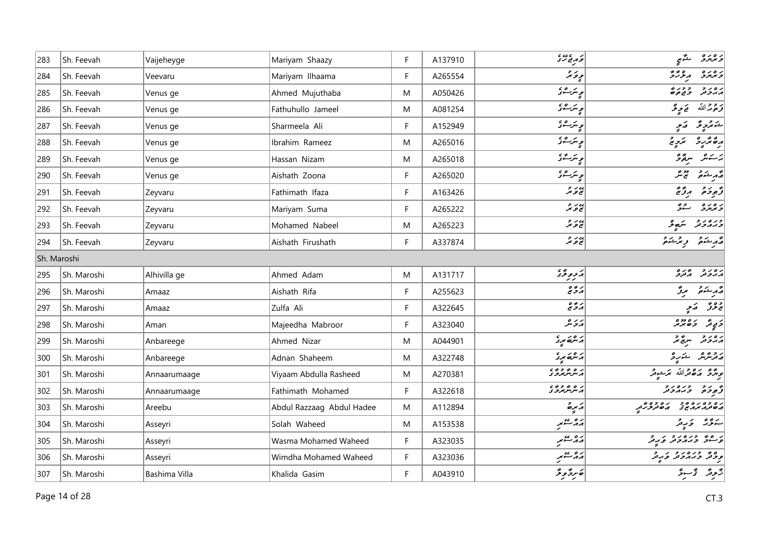| 283         | Sh. Feevah  | Vaijeheyge    | Mariyam Shaazy            | F.          | A137910 | ر<br>تو در ج ر د                                      | ر ه ر ه<br><del>و</del> بربرو<br>ستنگي                              |
|-------------|-------------|---------------|---------------------------|-------------|---------|-------------------------------------------------------|---------------------------------------------------------------------|
| 284         | Sh. Feevah  | Veevaru       | Mariyam Ilhaama           | F           | A265554 | عرو تر                                                | بروژڅ<br>ر ه ر ه<br><del>و</del> بربرو                              |
| 285         | Sh. Feevah  | Venus ge      | Ahmed Mujuthaba           | M           | A050426 | <br>  <sub>جي</sub> سر سمو                            | و ور پر<br><b>ر</b> يې ځ<br>بر 2 بر 1<br>م <i>ر</i> گر قر           |
| 286         | Sh. Feevah  | Venus ge      | Fathuhullo Jameel         | M           | A081254 | <br>  <sub>و</sub> پېرسو ئ                            | وحرالله<br>تع تر بحر                                                |
| 287         | Sh. Feevah  | Venus ge      | Sharmeela Ali             | $\mathsf F$ | A152949 | <br>  <sub>جو</sub> مئز سنو <sub>ء</sub>              | لمنكر وكالمحموم وكالمح                                              |
| 288         | Sh. Feevah  | Venus ge      | Ibrahim Rameez            | M           | A265016 | <sub>حي</sub> مگر شو <sup>ج</sup>                     |                                                                     |
| 289         | Sh. Feevah  | Venus ge      | Hassan Nizam              | M           | A265018 | <sub>جو</sub> مئز س <sup>موي</sup>                    | ىر ئىكىش سىۋۇ                                                       |
| 290         | Sh. Feevah  | Venus ge      | Aishath Zoona             | F.          | A265020 | <br>  <sub>جو</sub> سر کے دی                          | $\frac{2}{3}$<br>$\frac{2}{3}$                                      |
| 291         | Sh. Feevah  | Zeyvaru       | Fathimath Ifaza           | F           | A163426 | ں ر و<br>سی حر                                        | قهوخو مرقبة                                                         |
| 292         | Sh. Feevah  | Zeyvaru       | Mariyam Suma              | F.          | A265222 | ں پر ح<br>سی حر سر                                    | ر ه ر ه<br>د بربرد<br>ستریخ                                         |
| 293         | Sh. Feevah  | Zeyvaru       | Mohamed Nabeel            | M           | A265223 | ں پر ح<br>سی حر سر                                    | و ر ه ر د<br>تر بر بر تر<br>سكەنتى                                  |
| 294         | Sh. Feevah  | Zeyvaru       | Aishath Firushath         | F           | A337874 | ہے پر حر<br> مع حر                                    | وكرمشكم ويرشكم                                                      |
| Sh. Maroshi |             |               |                           |             |         |                                                       |                                                                     |
| 295         | Sh. Maroshi | Alhivilla ge  | Ahmed Adam                | M           | A131717 | ەكمەرە ئۇتى                                           | ره رو په ده د                                                       |
| 296         | Sh. Maroshi | Amaaz         | Aishath Rifa              | F.          | A255623 | روه                                                   | أقهر مشوقو المحرقر                                                  |
| 297         | Sh. Maroshi | Amaaz         | Zulfa Ali                 | F.          | A322645 | رژه                                                   | ة وَوَّ – مَا حِي                                                   |
| 298         | Sh. Maroshi | Aman          | Majeedha Mabroor          | F.          | A323040 | برىر ھ                                                | ر په ده ده و                                                        |
| 299         | Sh. Maroshi | Anbareege     | Ahmed Nizar               | M           | A044901 | بر مر <sub>ک</sub> به سر<br>مرسر تکه س <sub>ب</sub> ر | أرور و سرچ مر                                                       |
| 300         | Sh. Maroshi | Anbareege     | Adnan Shaheem             | M           | A322748 | ر شرکھ س <sub>ر</sub> ی                               | ر دی هر شرکته                                                       |
| 301         | Sh. Maroshi | Annaarumaage  | Viyaam Abdulla Rasheed    | M           | A270381 | ر ۵ ۶ ۶ و ۶<br>۸ سرسربرو ی                            | وثرد مەھىراللە مەسومر                                               |
| 302         | Sh. Maroshi | Annaarumaage  | Fathimath Mohamed         | F.          | A322618 | ر ه ۶۶۶ و.<br>مرس پر پر د                             | و ده دره در                                                         |
| 303         | Sh. Maroshi | Areebu        | Abdul Razzaag Abdul Hadee | M           | A112894 | ړ بره<br>د                                            | ג ס כ ס ג ס כ ב ב ג ס כ ס כ.<br>ג ס בקות יבות יש ב די ה ס בקיב קב ב |
| 304         | Sh. Maroshi | Asseyri       | Solah Waheed              | ${\sf M}$   | A153538 | لره يهمر                                              | بذؤر ورد                                                            |
| 305         | Sh. Maroshi | Asseyri       | Wasma Mohamed Waheed      | F.          | A323035 | لئەھرىيىمبر                                           |                                                                     |
| 306         | Sh. Maroshi | Asseyri       | Wimdha Mohamed Waheed     | F.          | A323036 | لره يهمر                                              | ووفر ورەرو كەبىر                                                    |
| 307         | Sh. Maroshi | Bashima Villa | Khalida Gasim             | F           | A043910 | <i>ئەبرۇ ب</i> ۇ                                      | تشوقه الأسوق                                                        |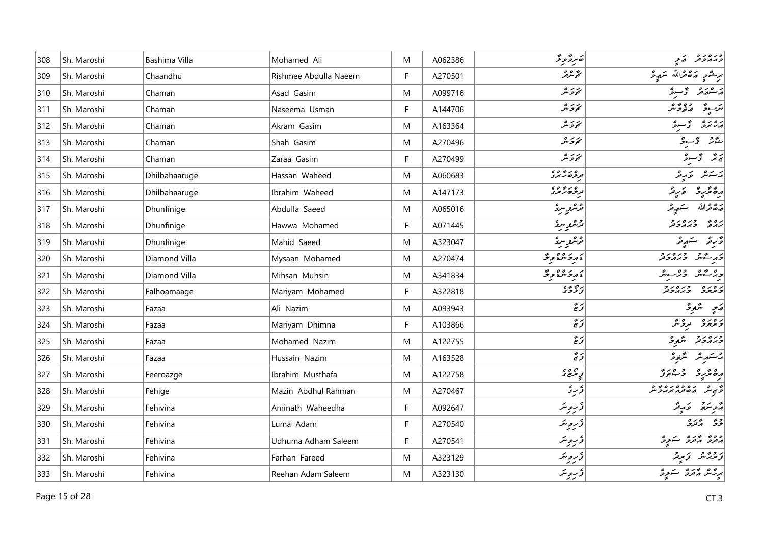| 308 | Sh. Maroshi   | Bashima Villa | Mohamed Ali           | M  | A062386 | ئەبرۇ بۇ                                            | دبر دبر دبر دبر                                                |
|-----|---------------|---------------|-----------------------|----|---------|-----------------------------------------------------|----------------------------------------------------------------|
| 309 | Sh. Maroshi   | Chaandhu      | Rishmee Abdulla Naeem | F  | A270501 | پە 20 ج<br>كۇسرىر                                   | برجو 50 قرالله شهر 2<br>- مرجو 50 قرالله شهر 2<br>- مرکز 3 - د |
| 310 | Sh. Maroshi   | Chaman        | Asad Gasim            | M  | A099716 | ىجە خەشر                                            |                                                                |
| 311 | Sh. Maroshi   | Chaman        | Naseema Usman         | F  | A144706 | ىئەر بىر                                            | بىر بىر قەم ئەر                                                |
| 312 | Sh. Maroshi   | Chaman        | Akram Gasim           | M  | A163364 | ىمەترىش                                             | $3 - 3 - 2 - 2$                                                |
| 313 | Sh. Maroshi   | Chaman        | Shah Gasim            | M  | A270496 | ىمەترىش                                             | شَرْرْ تَوْسُورْ                                               |
| 314 | l Sh. Maroshi | Chaman        | Zaraa Gasim           | F. | A270499 | ىمەر شر                                             | ئەنئىر ئۆسىدى                                                  |
| 315 | Sh. Maroshi   | Dhilbahaaruge | Hassan Waheed         | M  | A060683 | و د د و د<br>ترنژ <i>ه ر</i> بر د                   | يز کشش کار پر                                                  |
| 316 | Sh. Maroshi   | Dhilbahaaruge | Ibrahim Waheed        | M  | A147173 | ه <i>د ۶ و ۶</i><br>ترتز <i>ه ر</i> بر <sub>ک</sub> | وه پر د ورد                                                    |
| 317 | Sh. Maroshi   | Dhunfinige    | Abdulla Saeed         | M  | A065016 | قريموسية                                            | مَدْهِ قَدْاللّه سَعْصِرَ                                      |
| 318 | l Sh. Maroshi | Dhunfinige    | Hawwa Mohamed         | F. | A071445 | قرشرو سرءكه                                         | و رە ر د<br>تر پر تر تر<br>برە پە                              |
| 319 | Sh. Maroshi   | Dhunfinige    | Mahid Saeed           | Μ  | A323047 | قرىتى <sub>گە</sub> سرىگە<br>سىس <mark>ىر</mark>    | ۇرىر سەرىر                                                     |
| 320 | Sh. Maroshi   | Diamond Villa | Mysaan Mohamed        | M  | A270474 | ،<br>، ئەرىئىن ئورگ                                 | ورشش ورەرو                                                     |
| 321 | Sh. Maroshi   | Diamond Villa | Mihsan Muhsin         | M  | A341834 | )<br>) ئەر ئەشقا <i>ھ</i> رىگە                      | ورمشش ورمس                                                     |
| 322 | Sh. Maroshi   | Falhoamaage   | Mariyam Mohamed       | F  | A322818 | ر 0 ء ،<br>و د 5 د                                  | נסנס כנסנב<br><i>כאתב ב</i> אתכ <mark>נ</mark> ג               |
| 323 | Sh. Maroshi   | Fazaa         | Ali Nazim             | M  | A093943 | ترتج                                                | ړې ش <sub>خو</sub> د                                           |
| 324 | Sh. Maroshi   | Fazaa         | Mariyam Dhimna        | F  | A103866 | ترتج                                                | ر ه ر ه<br><del>و</del> بربرو<br>مرد میگر                      |
| 325 | Sh. Maroshi   | Fazaa         | Mohamed Nazim         | M  | A122755 | تریخ                                                | سَّمْعِ رَّ<br>و ره ر د<br><i>د ب</i> رگرفر                    |
| 326 | Sh. Maroshi   | Fazaa         | Hussain Nazim         | M  | A163528 | تريج                                                | يز سەر شەھ شەمۇر                                               |
| 327 | Sh. Maroshi   | Feeroazge     | Ibrahim Musthafa      | M  | A122758 | ه ۵ ۵ و،<br>مح <sup>مد پ</sup> ندن                  | د ۱۵ <sub>۰</sub> ۰ ور<br>ەھ ئۈر ۋ                             |
| 328 | Sh. Maroshi   | Fehige        | Mazin Abdhul Rahman   | M  | A270467 | ې<br>توريخ                                          | و ده ده ده ده دو د<br>گريم سر ماه محمد بر کار                  |
| 329 | Sh. Maroshi   | Fehivina      | Aminath Waheedha      | F  | A092647 | ۇروپر                                               | أأوسكم وكبيقه                                                  |
| 330 | Sh. Maroshi   | Fehivina      | Luma Adam             | F  | A270540 | ۇروپر<br><u>سىر</u>                                 | وو پرو                                                         |
| 331 | Sh. Maroshi   | Fehivina      | Udhuma Adham Saleem   | F. | A270541 | ۇر <sub>ە</sub> بىر                                 | و و به بره در د و                                              |
| 332 | Sh. Maroshi   | Fehivina      | Farhan Fareed         | M  | A323129 | ۇروپر                                               | و دوسته و مرمز                                                 |
| 333 | Sh. Maroshi   | Fehivina      | Reehan Adam Saleem    | Μ  | A323130 | ۇروپر                                               | بررمه محده سود                                                 |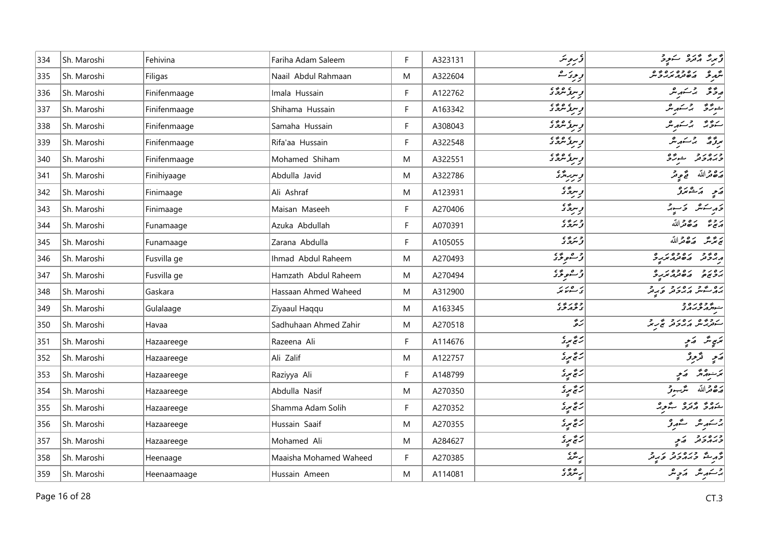| 334 | Sh. Maroshi | Fehivina     | Fariha Adam Saleem     | F         | A323131 | ۇروپىر<br>مەم                                      | وحمرته ومحرو سنورد                    |
|-----|-------------|--------------|------------------------|-----------|---------|----------------------------------------------------|---------------------------------------|
| 335 | Sh. Maroshi | Filigas      | Naail Abdul Rahmaan    | M         | A322604 | وببرئر همر                                         | شرو رەدەرەبور                         |
| 336 | Sh. Maroshi | Finifenmaage | Imala Hussain          | F         | A122762 | و سرز مرگه د ؟                                     | ورقو برخوره                           |
| 337 | Sh. Maroshi | Finifenmaage | Shihama Hussain        | F         | A163342 | اربېرونيونو                                        | جوڭۇ سىستوپىر                         |
| 338 | Sh. Maroshi | Finifenmaage | Samaha Hussain         | F         | A308043 | ر سرگەشتر <sup>ى</sup>                             | سرور بر شهر ش                         |
| 339 | Sh. Maroshi | Finifenmaage | Rifa'aa Hussain        | F         | A322548 | و سرو مرچ د                                        | برۇق بەسكەنلى                         |
| 340 | Sh. Maroshi | Finifenmaage | Mohamed Shiham         | ${\sf M}$ | A322551 | ى <sub>ر س</sub> ۇ ئىرگە ئ                         | ورەر دېم شورگ                         |
| 341 | Sh. Maroshi | Finihiyaage  | Abdulla Javid          | ${\sf M}$ | A322786 | و سربر پژی<br>تر تر تر                             | أَرَّةٌ مَّرَ اللَّهُ لَمَّ مِ مَّرَّ |
| 342 | Sh. Maroshi | Finimaage    | Ali Ashraf             | ${\sf M}$ | A123931 | وسردمى                                             | أەسم أوسفور المستعمد                  |
| 343 | Sh. Maroshi | Finimaage    | Maisan Maseeh          | F         | A270406 | وببرڈئ                                             | وركاش والبار                          |
| 344 | Sh. Maroshi | Funamaage    | Azuka Abdullah         | F         | A070391 | و ر د د<br>توسرچ د                                 | أتربح تم وتحدث الله                   |
| 345 | Sh. Maroshi | Funamaage    | Zarana Abdulla         | F         | A105055 | و پر پر پر<br>توسرپر <sub>ک</sub>                  | ىج ئىرىئى ئەھ قىراللە                 |
| 346 | Sh. Maroshi | Fusvilla ge  | Ihmad Abdul Raheem     | ${\sf M}$ | A270493 | ۇرمىموقۇ                                           | و دو ده ده ده در و                    |
| 347 | Sh. Maroshi | Fusvilla ge  | Hamzath Abdul Raheem   | M         | A270494 | ژ مش <sub>موڅند</sub>                              | נפנד נפרסנים                          |
| 348 | Sh. Maroshi | Gaskara      | Hassaan Ahmed Waheed   | M         | A312900 | ى شەندىكە                                          | ره د و ره رو ر رو                     |
| 349 | Sh. Maroshi | Gulalaage    | Ziyaaul Haqqu          | M         | A163345 | د ه د پر پر<br>د نژدنژ د                           | سەپەر 2020 د                          |
| 350 | Sh. Maroshi | Havaa        | Sadhuhaan Ahmed Zahir  | M         | A270518 | رپچ                                                | ر و ده مه ره ر و په ر و               |
| 351 | Sh. Maroshi | Hazaareege   | Razeena Ali            | F         | A114676 | ىرىپە<br>سىتىم بىرى                                | ىمىي ئىس كەمپ                         |
| 352 | Sh. Maroshi | Hazaareege   | Ali Zalif              | M         | A122757 | مر پچ مور <sup>ي</sup><br>سر پچ موري               | أيمي فرموق                            |
| 353 | Sh. Maroshi | Hazaareege   | Raziyya Ali            | F         | A148799 | ئەنتى ئىرى<br>                                     |                                       |
| 354 | Sh. Maroshi | Hazaareege   | Abdulla Nasif          | ${\sf M}$ | A270350 | پر پچ میں پی<br>رسمج میں پی                        | رەقمەللە مترجوقر                      |
| 355 | Sh. Maroshi | Hazaareege   | Shamma Adam Solih      | F         | A270352 | پر پچ می <sub>و</sub> ی<br>سنج می <sub>و</sub> ی   | شەدە بەرە بەرە                        |
| 356 | Sh. Maroshi | Hazaareege   | Hussain Saaif          | ${\sf M}$ | A270355 | ئەنتى بىرى<br>  ئەنتى بىرى                         | يز سىر شەر ئىستىر قىلىر               |
| 357 | Sh. Maroshi | Hazaareege   | Mohamed Ali            | ${\sf M}$ | A284627 | مر پچ می <sub>و</sub> ی<br>سر پچ می <sub>و</sub> ی | ورەرو كەير                            |
| 358 | Sh. Maroshi | Heenaage     | Maaisha Mohamed Waheed | F         | A270385 | ىرىتىد<br>ئە                                       | و ده دره د و درو                      |
| 359 | Sh. Maroshi | Heenaamaage  | Hussain Ameen          | ${\sf M}$ | A114081 | ر پژو <sup>ي</sup>                                 | برسكريش ككميش                         |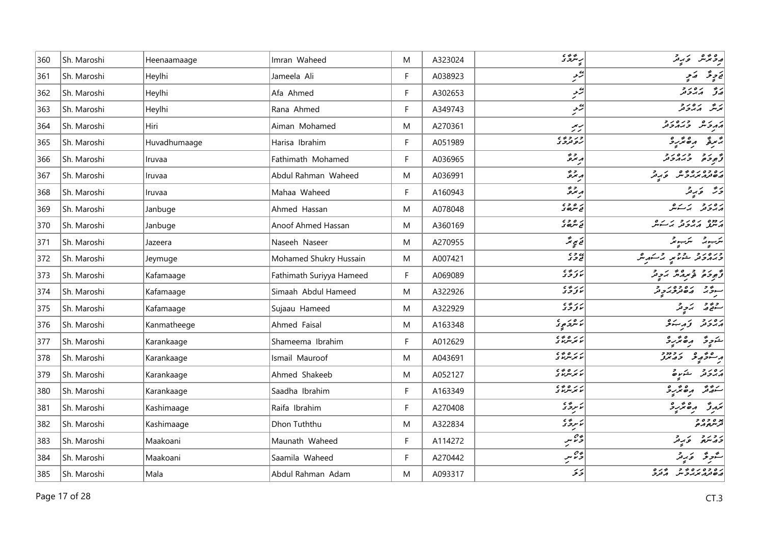| 360 | Sh. Maroshi | Heenaamaage  | Imran Waheed             | M           | A323024 | رېتر <del>د</del> ی                | ەر ئەر ئەر ئەر ئەر                                                                                             |
|-----|-------------|--------------|--------------------------|-------------|---------|------------------------------------|----------------------------------------------------------------------------------------------------------------|
| 361 | Sh. Maroshi | Heylhi       | Jameela Ali              | $\mathsf F$ | A038923 | يمو<br>سير                         | تحارٍ مَنْ أَوْرِ                                                                                              |
| 362 | Sh. Maroshi | Heylhi       | Afa Ahmed                | F           | A302653 | امي<br>سر                          | ر ده در در در در در در در کار در در کار در در کار در کار در کار در کار در کار در در کار در در کار در در کار در |
| 363 | Sh. Maroshi | Heylhi       | Rana Ahmed               | F           | A349743 | امي<br>سر                          | برش برەر د                                                                                                     |
| 364 | Sh. Maroshi | Hiri         | Aiman Mohamed            | M           | A270361 | رىر                                | התכיל כגופני                                                                                                   |
| 365 | Sh. Maroshi | Huvadhumaage | Harisa Ibrahim           | F           | A051989 | و ر و د »<br>ر و ترو د             | تمرةً معترج                                                                                                    |
| 366 | Sh. Maroshi | Iruvaa       | Fathimath Mohamed        | F           | A036965 | ەبە بىرى                           | و د دره دو                                                                                                     |
| 367 | Sh. Maroshi | Iruvaa       | Abdul Rahman Waheed      | M           | A036991 | ەبە ئىرق                           |                                                                                                                |
| 368 | Sh. Maroshi | Iruvaa       | Mahaa Waheed             | F           | A160943 | ە بىرى                             | ى ئەر                                                                                                          |
| 369 | Sh. Maroshi | Janbuge      | Ahmed Hassan             | M           | A078048 | ر د د ء<br>ق سرچ و                 | رەرد ئەسكىر                                                                                                    |
| 370 | Sh. Maroshi | Janbuge      | Anoof Ahmed Hassan       | M           | A360169 | ر ۵ پر پ<br>قع سرچه <sub>ک</sub>   | ג ככם גם גב גבות.<br>המינה הגבות גבות                                                                          |
| 371 | Sh. Maroshi | Jazeera      | Naseeh Naseer            | M           | A270955 | ئع محر محمّد                       | أنكسوك الكسوكي                                                                                                 |
| 372 | Sh. Maroshi | Jeymuge      | Mohamed Shukry Hussain   | M           | A007421 | ړ، و ع<br>قع تر <sub>ک</sub>       |                                                                                                                |
| 373 | Sh. Maroshi | Kafamaage    | Fathimath Suriyya Hameed | F           | A069089 | ر ر » ،<br>ما تو ژ د               | توجده ومروش تاجا                                                                                               |
| 374 | Sh. Maroshi | Kafamaage    | Simaah Abdul Hameed      | M           | A322926 | ر ر » ،<br>ما ؤ ژ د                | دوم ده ده در د                                                                                                 |
| 375 | Sh. Maroshi | Kafamaage    | Sujaau Hameed            | M           | A322929 | ر ر پر پر<br>مانو <del>ر</del> تر  | جەنق ئەرقە                                                                                                     |
| 376 | Sh. Maroshi | Kanmatheege  | Ahmed Faisal             | M           | A163348 | ئەنگە ئەمرى<br>                    | أرەر دۇرىبەلى                                                                                                  |
| 377 | Sh. Maroshi | Karankaage   | Shameema Ibrahim         | F           | A012629 | ر رەپە ،<br>مايىرىنزى <i>ر</i>     | خود رەئر                                                                                                       |
| 378 | Sh. Maroshi | Karankaage   | Ismail Mauroof           | M           | A043691 | ر ر ه و د ،<br>ما مرس د د          | وسنور ودود                                                                                                     |
| 379 | Sh. Maroshi | Karankaage   | Ahmed Shakeeb            | M           | A052127 | ر ره ۶۵<br>ما بر مرکز              |                                                                                                                |
| 380 | Sh. Maroshi | Karankaage   | Saadha Ibrahim           | $\mathsf F$ | A163349 | ر ر ه و د ،<br>ما <del>ب</del> ر س | سور ده دره دره                                                                                                 |
| 381 | Sh. Maroshi | Kashimaage   | Raifa Ibrahim            | F           | A270408 | ر<br>ئەبرىرى                       | رە ئەرد<br>سەرقە                                                                                               |
| 382 | Sh. Maroshi | Kashimaage   | Dhon Tuththu             | M           | A322834 | ر<br>مأسرچۍ                        | يو ه و ه و<br>ترسرچ پر چ                                                                                       |
| 383 | Sh. Maroshi | Maakoani     | Maunath Waheed           | F           | A114272 | وميبر                              | كروبرو كربرو                                                                                                   |
| 384 | Sh. Maroshi | Maakoani     | Saamila Waheed           | F           | A270442 | وی<br>قرنامبر                      | شوق ءَرِثر                                                                                                     |
| 385 | Sh. Maroshi | Mala         | Abdul Rahman Adam        | M           | A093317 | ىزىخە                              | ג ם כ ם ג ם ש כ ב ש ג ם<br>הם ב ק ה ב ג ב יידי ב ה ב ק ב                                                       |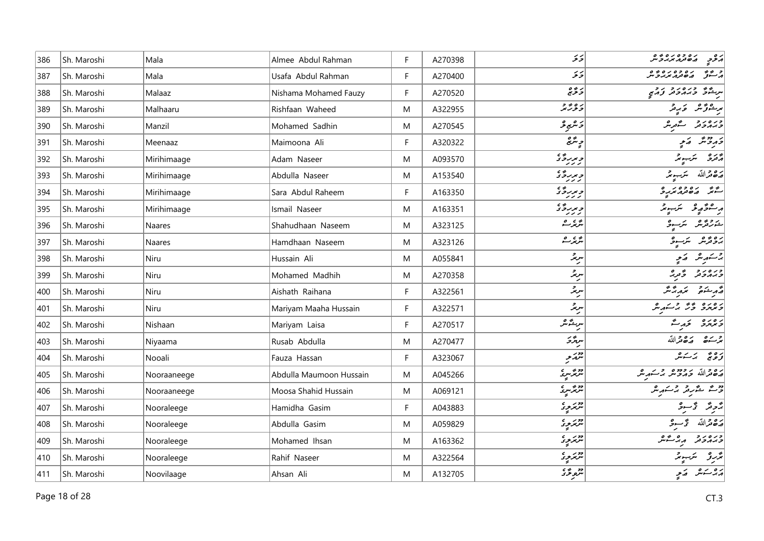| 386 | Sh. Maroshi | Mala          | Almee Abdul Rahman      | F           | A270398 | ۇت                             | גם גם בסגסתים                              |
|-----|-------------|---------------|-------------------------|-------------|---------|--------------------------------|--------------------------------------------|
| 387 | Sh. Maroshi | Mala          | Usafa Abdul Rahman      | F           | A270400 | ىز                             | ره وه ره ده.<br>پره تربر تر س<br>ىر شۇ ئى  |
| 388 | Sh. Maroshi | Malaaz        | Nishama Mohamed Fauzy   | F           | A270520 | ىر ئۇيج                        | سريدي 10000 د د د<br>سريشون 3000 تر و د مي |
| 389 | Sh. Maroshi | Malhaaru      | Rishfaan Waheed         | M           | A322955 | ر ه و و<br>5 گرگ               | برڪوڻش ڪيائر                               |
| 390 | Sh. Maroshi | Manzil        | Mohamed Sadhin          | ${\sf M}$   | A270545 | ئەشىرى                         | ورەرو گېرىر                                |
| 391 | Sh. Maroshi | Meenaaz       | Maimoona Ali            | $\mathsf F$ | A320322 | جریٹرچ                         | دُرومبر کمی                                |
| 392 | Sh. Maroshi | Mirihimaage   | Adam Naseer             | M           | A093570 | د برر دي<br>ر برر د            | وسيدة الترسوسي                             |
| 393 | Sh. Maroshi | Mirihimaage   | Abdulla Naseer          | M           | A153540 | د برر دمی<br>بر بر             | أرة فرالله تترجعه                          |
| 394 | Sh. Maroshi | Mirihimaage   | Sara Abdul Raheem       | F           | A163350 | و برر دی<br>ر ر ر              | مشعر ماه وه مره                            |
| 395 | Sh. Maroshi | Mirihimaage   | Ismail Naseer           | M           | A163351 | وبررده                         | ر جۇرچى سىبب                               |
| 396 | Sh. Maroshi | <b>Naares</b> | Shahudhaan Naseem       | M           | A323125 | متر پر ہ                       | ر د ده ه سرگرده<br>شورترس سرگرده           |
| 397 | Sh. Maroshi | <b>Naares</b> | Hamdhaan Naseem         | M           | A323126 | متزبر عه                       | رە دەر سەر د                               |
| 398 | Sh. Maroshi | <b>Niru</b>   | Hussain Ali             | M           | A055841 | سرچر                           | برسكهر شركر                                |
| 399 | Sh. Maroshi | <b>Niru</b>   | Mohamed Madhih          | M           | A270358 | سرچر                           | ورەرو ئېرە                                 |
| 400 | Sh. Maroshi | Niru          | Aishath Raihana         | F           | A322561 | سرچر                           | مەر شىم ئىر ئەتر                           |
| 401 | Sh. Maroshi | Niru          | Mariyam Maaha Hussain   | $\mathsf F$ | A322571 | سرچر                           | دەرە بەر جاسكەس                            |
| 402 | Sh. Maroshi | Nishaan       | Mariyam Laisa           | F           | A270517 | اسريشمر                        | ويوره تورث                                 |
| 403 | Sh. Maroshi | Niyaama       | Rusab Abdulla           | M           | A270477 | سرپر<br>سر                     | مركب ره مرالله                             |
| 404 | Sh. Maroshi | Nooali        | Fauza Hassan            | F           | A323067 | يتدمر                          | زەپچ برسكىر                                |
| 405 | Sh. Maroshi | Nooraaneege   | Abdulla Maumoon Hussain | M           | A045266 | دو پر<br>سربر سرپر             | رە داللە ئەددە مەسكەن                      |
| 406 | Sh. Maroshi | Nooraaneege   | Moosa Shahid Hussain    | M           | A069121 | دو پر<br>مربر س <sub>و</sub> ر | وحث ڪريز برڪريز                            |
| 407 | Sh. Maroshi | Nooraleege    | Hamidha Gasim           | F           | A043883 | ددر<br>مرتز <sub>عر</sub> د    | جەدىگە سەرقىسىدۇ                           |
| 408 | Sh. Maroshi | Nooraleege    | Abdulla Gasim           | M           | A059829 | ددر<br>مرتزعه د                | مَدْ قَدْ اللّهِ تَوْسُورْ                 |
| 409 | Sh. Maroshi | Nooraleege    | Mohamed Ihsan           | M           | A163362 | ددر<br>مرتزعر                  | ورەرو مەشھ                                 |
| 410 | Sh. Maroshi | Nooraleege    | Rahif Naseer            | M           | A322564 | ددر<br>مرتز <sub>عر</sub> د    | بَرْبِرْ بَرَبِيْرِ                        |
| 411 | Sh. Maroshi | Noovilaage    | Ahsan Ali               | M           | A132705 | دد<br>شرع څرن                  | ىروسەھ كەم                                 |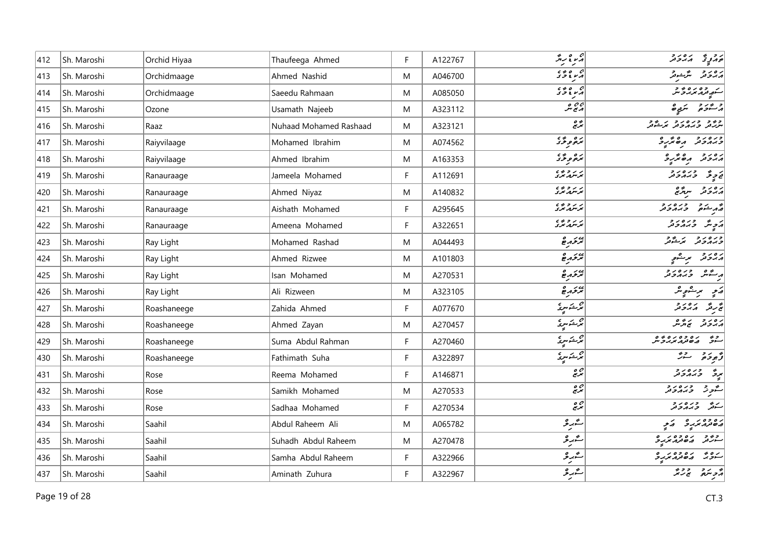| 412 | Sh. Maroshi | Orchid Hiyaa | Thaufeega Ahmed        | F.          | A122767 | ەر بەر بەر<br>مەسىر             | و در په ده د در د                                                                       |
|-----|-------------|--------------|------------------------|-------------|---------|---------------------------------|-----------------------------------------------------------------------------------------|
| 413 | Sh. Maroshi | Orchidmaage  | Ahmed Nashid           | M           | A046700 | ه ره و و<br>مربع څ              | رەرو شەر                                                                                |
| 414 | Sh. Maroshi | Orchidmaage  | Saeedu Rahmaan         | M           | A085050 |                                 | مەمەر مەم بەر ئار                                                                       |
| 415 | Sh. Maroshi | Ozone        | Usamath Najeeb         | M           | A323112 | 20 ص<br> محمد                   | د ورد کرده کرده                                                                         |
| 416 | Sh. Maroshi | Raaz         | Nuhaad Mohamed Rashaad | M           | A323121 | پر ہ<br>ترج                     | و د و د ده د و د بدو<br>سربر و بربروتر برخوتر                                           |
| 417 | Sh. Maroshi | Raiyvilaage  | Mohamed Ibrahim        | M           | A074562 | ر ه<br>مر <sub>گ</sub> ور و گر  | כמחכת הסתנכ                                                                             |
| 418 | Sh. Maroshi | Raiyvilaage  | Ahmed Ibrahim          | M           | A163353 | ره وي<br>مر <sub>حو</sub> مونځو | גפנה הפתיק                                                                              |
| 419 | Sh. Maroshi | Ranauraage   | Jameela Mohamed        | $\mathsf F$ | A112691 | ر ر د د ،<br>برس پر بر <u>.</u> | $\begin{bmatrix} 2 & 2 & 2 & 3 \\ 3 & 2 & 2 & 2 & 3 \\ 4 & 3 & 2 & 2 & 3 \end{bmatrix}$ |
| 420 | Sh. Maroshi | Ranauraage   | Ahmed Niyaz            | ${\sf M}$   | A140832 | ر ر د » ›<br>برسمه برد          | גפגר תוצם                                                                               |
| 421 | Sh. Maroshi | Ranauraage   | Aishath Mohamed        | F           | A295645 | ر ر د » ><br>برس پر بری         | ه در دره در د                                                                           |
| 422 | Sh. Maroshi | Ranauraage   | Ameena Mohamed         | F           | A322651 | ر ر د پر د<br>مرسمه مرد         | أروبير ورورو                                                                            |
| 423 | Sh. Maroshi | Ray Light    | Mohamed Rashad         | M           | A044493 | ليمزمره                         | ورەرو بەشگە                                                                             |
| 424 | Sh. Maroshi | Ray Light    | Ahmed Rizwee           | M           | A101803 | بريزمرة                         | رەر د سرے دي                                                                            |
| 425 | Sh. Maroshi | Ray Light    | Isan Mohamed           | M           | A270531 | ترىخەرچ                         | برگش وره دو                                                                             |
| 426 | Sh. Maroshi | Ray Light    | Ali Rizween            | M           | A323105 | ترىخەرچ                         | و <i>کي بر</i> شوينگر                                                                   |
| 427 | Sh. Maroshi | Roashaneege  | Zahida Ahmed           | $\mathsf F$ | A077670 | ە<br>ئىرىشەس <sub>ى</sub>       | تج بەنگە ئەرەبىر                                                                        |
| 428 | Sh. Maroshi | Roashaneege  | Ahmed Zayan            | M           | A270457 | ترڪسري                          | גם גם גובים.<br>הגבה הליילי                                                             |
| 429 | Sh. Maroshi | Roashaneege  | Suma Abdul Rahman      | F           | A270460 | مرڪسري<br>مرڪس                  | ر ه د ه ر ه د ه<br>پره تربر تر تر تر<br>ستریخ                                           |
| 430 | Sh. Maroshi | Roashaneege  | Fathimath Suha         | F           | A322897 | ترىشەسرى<br>ئى                  | توجوجو سنر                                                                              |
| 431 | Sh. Maroshi | Rose         | Reema Mohamed          | $\mathsf F$ | A146871 | ص<br>ممریخ                      | برڈ ورہ دو<br>پرڈ ویرمرونر                                                              |
| 432 | Sh. Maroshi | Rose         | Samikh Mohamed         | M           | A270533 | ص<br>ممرج                       | شورق وبرەرو                                                                             |
| 433 | Sh. Maroshi | Rose         | Sadhaa Mohamed         | F           | A270534 | م ج<br>مربع                     | ے بھی ورہ رو<br>سکھر ورماروفر                                                           |
| 434 | Sh. Maroshi | Saahil       | Abdul Raheem Ali       | M           | A065782 | سەر ئەر<br>مە                   |                                                                                         |
| 435 | Sh. Maroshi | Saahil       | Suhadh Abdul Raheem    | M           | A270478 | سە بەر بۇ<br>م                  | روود ره ده در ه                                                                         |
| 436 | Sh. Maroshi | Saahil       | Samha Abdul Raheem     | F           | A322966 | سەر بۇ                          |                                                                                         |
| 437 | Sh. Maroshi | Saahil       | Aminath Zuhura         | F           | A322967 | سەبەيىتى                        | أترجع بمرتد                                                                             |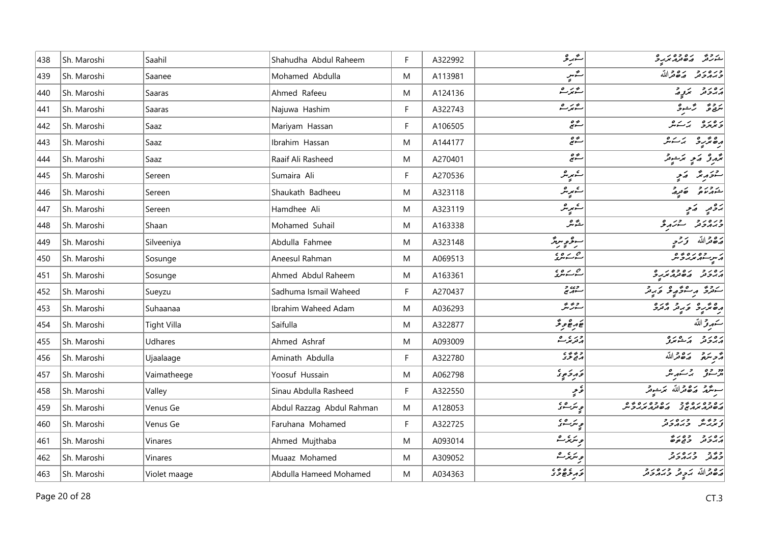| 438 | Sh. Maroshi | Saahil             | Shahudha Abdul Raheem     | F         | A322992 | سەر بۇ                 | شرور رەدە برە                                          |
|-----|-------------|--------------------|---------------------------|-----------|---------|------------------------|--------------------------------------------------------|
| 439 | Sh. Maroshi | Saanee             | Mohamed Abdulla           | M         | A113981 | ڪسر<br>پخ              | وره رو ده دالله                                        |
| 440 | Sh. Maroshi | Saaras             | Ahmed Rafeeu              | ${\sf M}$ | A124136 | ستمهر مشه              | پروژو پروژ                                             |
| 441 | Sh. Maroshi | Saaras             | Najuwa Hashim             | F         | A322743 | سە ئەبەر ھ             | للروح كرائشور                                          |
| 442 | Sh. Maroshi | Saaz               | Mariyam Hassan            | F         | A106505 | ستوج                   | دەرە بەر                                               |
| 443 | Sh. Maroshi | Saaz               | Ibrahim Hassan            | M         | A144177 | ستمتح                  | رەنزىر ئەسەر                                           |
| 444 | Sh. Maroshi | Saaz               | Raaif Ali Rasheed         | ${\sf M}$ | A270401 | ستمتح                  | ي <sub>م</sub> و کام پر شوند                           |
| 445 | Sh. Maroshi | Sereen             | Sumaira Ali               | F         | A270536 | ئەبىرىگر<br>ئ          |                                                        |
| 446 | Sh. Maroshi | Sereen             | Shaukath Badheeu          | ${\sf M}$ | A323118 | ئەببەيىر               |                                                        |
| 447 | Sh. Maroshi | Sereen             | Hamdhee Ali               | M         | A323119 | ئەبىرىگر<br>ئ          | برومړ کړمي                                             |
| 448 | Sh. Maroshi | Shaan              | Mohamed Suhail            | M         | A163338 | شەھر                   | ورەرو ئەركەنج                                          |
| 449 | Sh. Maroshi | Silveeniya         | Abdulla Fahmee            | ${\sf M}$ | A323148 | سوفرہ سرمز             | أرة قرالله وكرحي                                       |
| 450 | Sh. Maroshi | Sosunge            | Aneesul Rahman            | ${\sf M}$ | A069513 | جەسەتىر                | كەس 2010 مەكتەر<br>مەس                                 |
| 451 | Sh. Maroshi | Sosunge            | Ahmed Abdul Raheem        | M         | A163361 | تنوسه عديمه            | גפיג גפיפה בגי                                         |
| 452 | Sh. Maroshi | Sueyzu             | Sadhuma Ismail Waheed     | F         | A270437 | و پر و<br>سوړنځ        | سنترى پرسىۋېرى ئەبەتر                                  |
| 453 | Sh. Maroshi | Suhaanaa           | Ibrahim Waheed Adam       | ${\sf M}$ | A036293 | ىە ئەشر                | أرە ئەر ئەر ئەر ئەر                                    |
| 454 | Sh. Maroshi | <b>Tight Villa</b> | Saifulla                  | M         | A322877 | غەرغ عرقى              | ستمریز الله                                            |
| 455 | Sh. Maroshi | Udhares            | Ahmed Ashraf              | M         | A093009 | د ر ، م<br>مرمرسه      | ره رو بره ره<br>درونر برشوبرو                          |
| 456 | Sh. Maroshi | Ujaalaage          | Aminath Abdulla           | F         | A322780 | و ۵ ۵ م<br>در قع مو ی  | أمحر سمع المتعاقب                                      |
| 457 | Sh. Maroshi | Vaimatheege        | Yoosuf Hussain            | M         | A062798 | ئەر ئەم <sub>ۇ</sub> ئ | دو ده د چر شهر میگر                                    |
| 458 | Sh. Maroshi | Valley             | Sinau Abdulla Rasheed     | F         | A322550 | ءَمٍ                   | سو <i>سرة م</i> ُرصوراللّه مَرْسُومَرٌ                 |
| 459 | Sh. Maroshi | Venus Ge           | Abdul Razzag Abdul Rahman | M         | A128053 | وپئرسى                 | נס כס נסש בנס נס בס גם שים.<br>השנת גת גב" השנת גניבית |
| 460 | Sh. Maroshi | Venus Ge           | Faruhana Mohamed          | F         | A322725 | په مترب ه مي           | ر و مهر وره رو<br>و بررگش او برماوش                    |
| 461 | Sh. Maroshi | Vinares            | Ahmed Mujthaba            | ${\sf M}$ | A093014 | ءِ يئر پڙ شه           | נפני כסני<br>גיבת כביפים                               |
| 462 | Sh. Maroshi | Vinares            | Muaaz Mohamed             | M         | A309052 | ءِ يئر پڙ شه           | و د وره د و<br>حمائر حد د حد                           |
| 463 | Sh. Maroshi | Violet maage       | Abdulla Hameed Mohamed    | M         | A034363 | ئەربۇھۇي               | أروح الله برويد وبرويد                                 |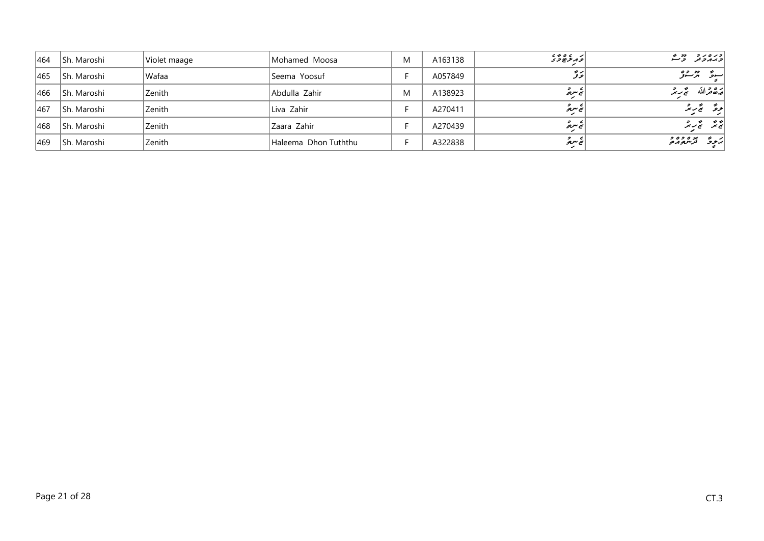| 464 | ISh. Maroshi       | Violet maage | Mohamed Moosa        | M | A163138 | د مره و د ، | أوره دو دوريج                      |
|-----|--------------------|--------------|----------------------|---|---------|-------------|------------------------------------|
| 465 | ISh. Maroshi       | l Wafaa      | lSeema Yoosuf        |   | A057849 | ح تو        | دو په دو<br>سەۋ                    |
| 466 | <b>Sh. Maroshi</b> | Zenith       | Abdulla Zahir        | M | A138923 | ے<br>یم سرچ | أَرَدُهُ قَرْاللَّهُ يَحْ سِعْرَ   |
| 467 | <b>Sh. Maroshi</b> | Zenith       | Liva Zahir           |   | A270411 | ي<br>سم سرچ | وقد سمج ريز                        |
| 468 | ISh. Maroshi       | Zenith       | Zaara Zahir          |   | A270439 | ے<br>سمجھ   | تج تمر تج سر تمر                   |
| 469 | ISh. Maroshi       | Zenith       | Haleema Dhon Tuththu |   | A322838 | سے سرچ      | پر ه د ه د<br>ترسرچ پر ج<br> پرووٌ |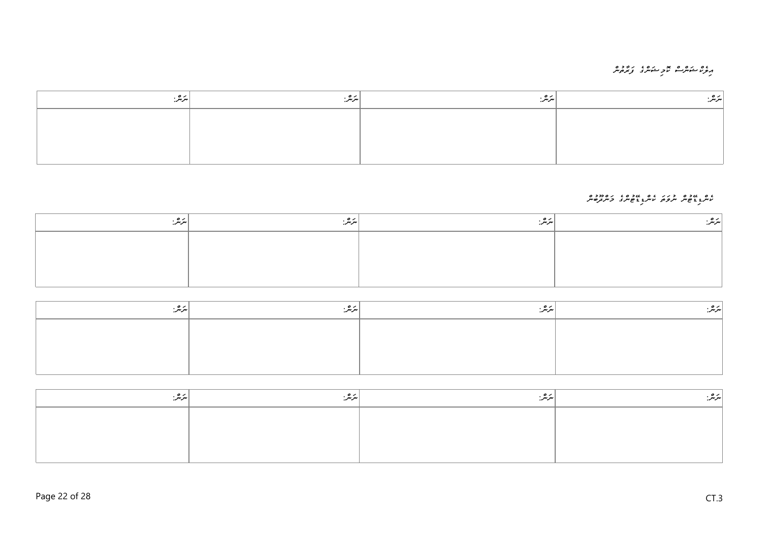## *w7qAn8m? sCw7mRo>u; wEw7mRw;sBo<*

| ' مرمر | 'يئرىثر: |
|--------|----------|
|        |          |
|        |          |
|        |          |

## *w7q9r@w7m> sCw7qHtFoFw7s; mAm=q7 w7qHtFoFw7s;*

| ىر تە | $\mathcal{O} \times$<br>$\sim$ | $\sim$<br>. . | لترنثر |
|-------|--------------------------------|---------------|--------|
|       |                                |               |        |
|       |                                |               |        |
|       |                                |               |        |

| انترنثر: | $^{\circ}$ | يبرهر | $^{\circ}$<br>سرسر |
|----------|------------|-------|--------------------|
|          |            |       |                    |
|          |            |       |                    |
|          |            |       |                    |

| يره | $\mathcal{O} \times$<br>. | $\sim$<br>سرسر | $^{\circ}$<br>مرسر |
|-----|---------------------------|----------------|--------------------|
|     |                           |                |                    |
|     |                           |                |                    |
|     |                           |                |                    |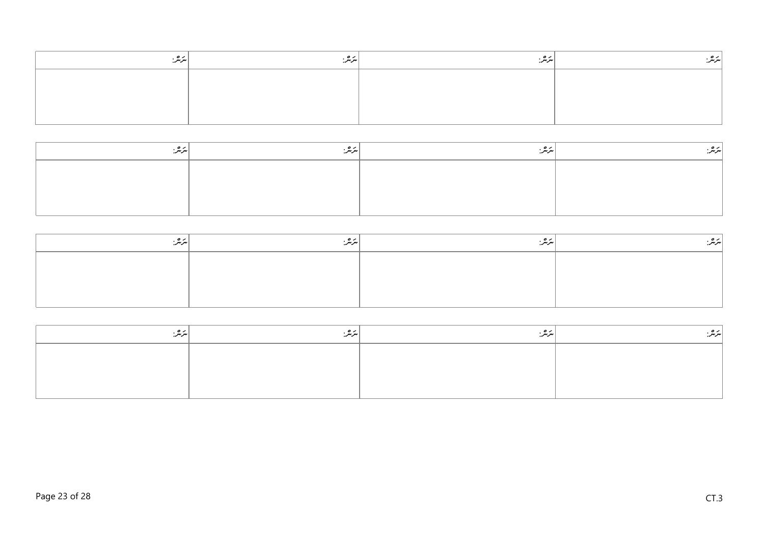| يره. | ο. | ا ير ه |  |
|------|----|--------|--|
|      |    |        |  |
|      |    |        |  |
|      |    |        |  |

| متريثر به | 。<br>'سرسر'۔ | يتزيترا | سرسر |
|-----------|--------------|---------|------|
|           |              |         |      |
|           |              |         |      |
|           |              |         |      |

| ىئرىتر. | $\sim$ | ا بر هه. | لىرىش |
|---------|--------|----------|-------|
|         |        |          |       |
|         |        |          |       |
|         |        |          |       |

| 。<br>مرس. | $\overline{\phantom{a}}$<br>مر مىر | يتريثر |
|-----------|------------------------------------|--------|
|           |                                    |        |
|           |                                    |        |
|           |                                    |        |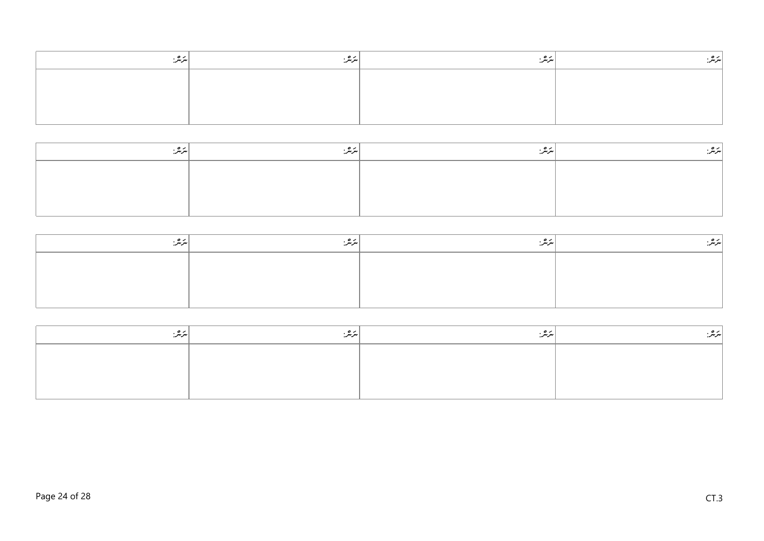| ير هو . | $\overline{\phantom{a}}$ | يرمر | اير هنه. |
|---------|--------------------------|------|----------|
|         |                          |      |          |
|         |                          |      |          |
|         |                          |      |          |

| ىر تىر: | $\circ$ $\sim$<br>" سرسر . | يترمير | o . |
|---------|----------------------------|--------|-----|
|         |                            |        |     |
|         |                            |        |     |
|         |                            |        |     |

| الترنثر: | ' مرتكز: | الترنثر: | .,<br>سرسر. |
|----------|----------|----------|-------------|
|          |          |          |             |
|          |          |          |             |
|          |          |          |             |

|  | . ه |
|--|-----|
|  |     |
|  |     |
|  |     |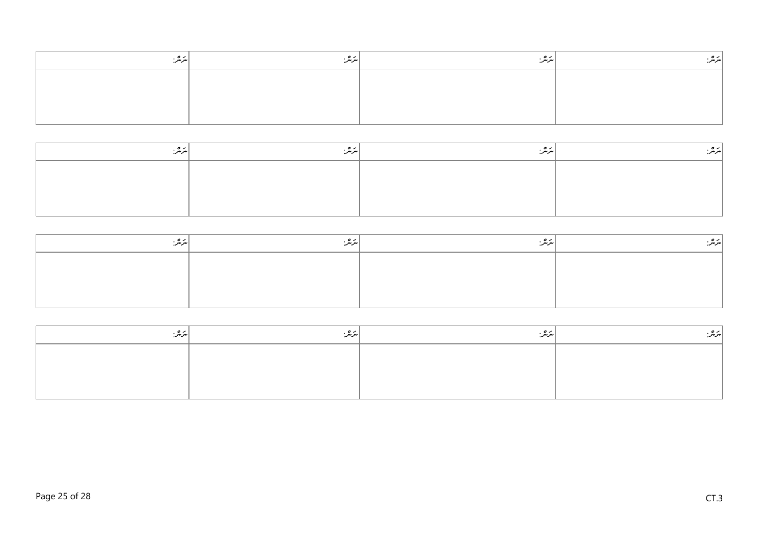| ير هو . | $\overline{\phantom{a}}$ | يرمر | اير هنه. |
|---------|--------------------------|------|----------|
|         |                          |      |          |
|         |                          |      |          |
|         |                          |      |          |

| ىر تىر: | $\circ$ $\sim$<br>" سرسر . | يترمير | o . |
|---------|----------------------------|--------|-----|
|         |                            |        |     |
|         |                            |        |     |
|         |                            |        |     |

| 'تترنثر: | 。<br>,,,, |  |
|----------|-----------|--|
|          |           |  |
|          |           |  |
|          |           |  |

|  | . ه |
|--|-----|
|  |     |
|  |     |
|  |     |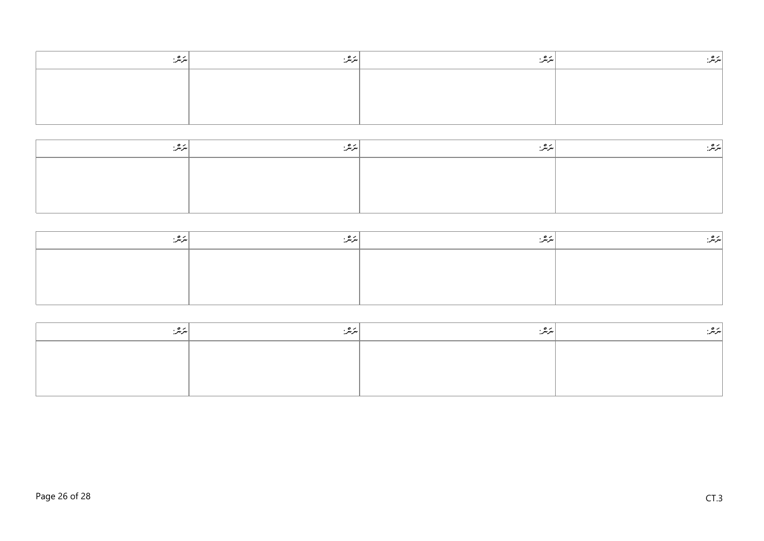| $\cdot$ | ο. | $\frac{\circ}{\cdot}$ | $\sim$<br>سرسر |
|---------|----|-----------------------|----------------|
|         |    |                       |                |
|         |    |                       |                |
|         |    |                       |                |

| يريثن | ' سرسر . |  |
|-------|----------|--|
|       |          |  |
|       |          |  |
|       |          |  |

| بر ه | 。 | $\sim$<br>َ سومس. |  |
|------|---|-------------------|--|
|      |   |                   |  |
|      |   |                   |  |
|      |   |                   |  |

| 。<br>. س | ىرىىر |  |
|----------|-------|--|
|          |       |  |
|          |       |  |
|          |       |  |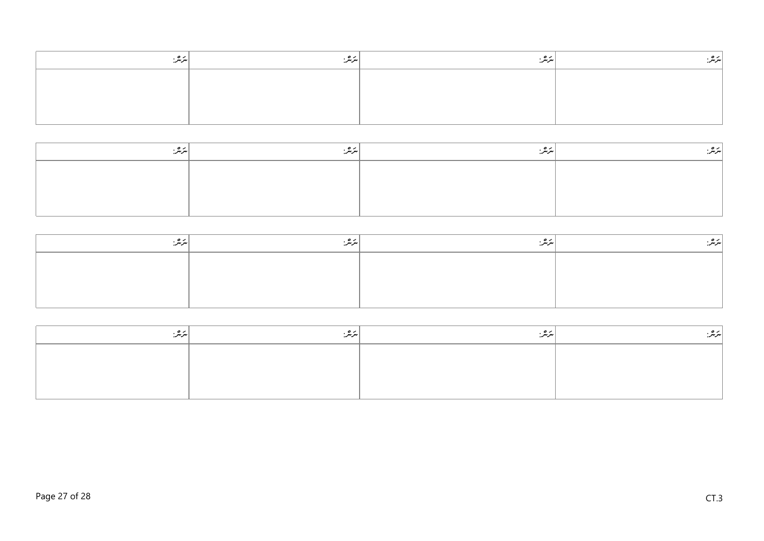| ير هو . | $\overline{\phantom{a}}$ | يرمر | لتزمثن |
|---------|--------------------------|------|--------|
|         |                          |      |        |
|         |                          |      |        |
|         |                          |      |        |

| ىر تىر: | $\circ$ $\sim$<br>" سرسر . | يترمير | o . |
|---------|----------------------------|--------|-----|
|         |                            |        |     |
|         |                            |        |     |
|         |                            |        |     |

| ىئرىتىز: | . .<br>سمرسمد. | 。 |
|----------|----------------|---|
|          |                |   |
|          |                |   |
|          |                |   |

|  | . ه |
|--|-----|
|  |     |
|  |     |
|  |     |